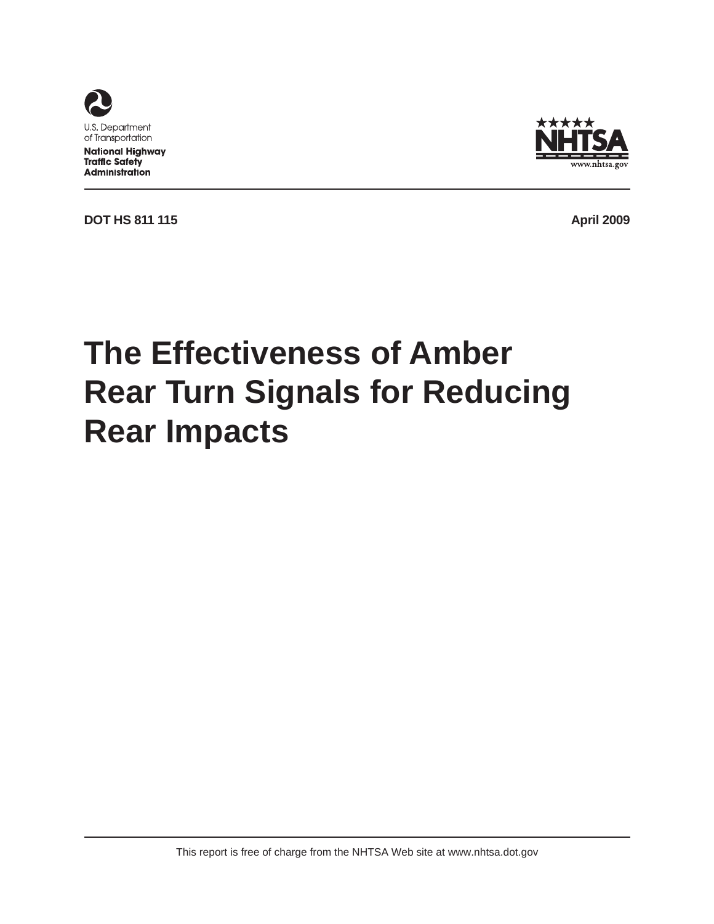

**National Highway Traffic Safety Administration** 



**DOT HS 811 115 April 2009** 

# **The Effectiveness of Amber Rear Turn Signals for Reducing Rear Impacts**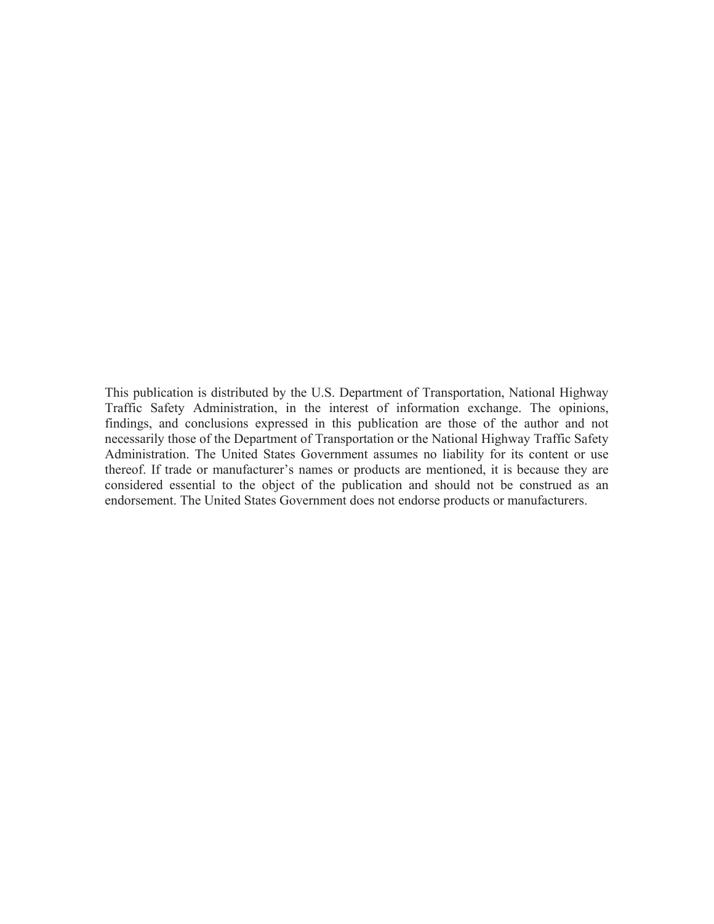This publication is distributed by the U.S. Department of Transportation, National Highway Traffic Safety Administration, in the interest of information exchange. The opinions, findings, and conclusions expressed in this publication are those of the author and not necessarily those of the Department of Transportation or the National Highway Traffic Safety Administration. The United States Government assumes no liability for its content or use thereof. If trade or manufacturer's names or products are mentioned, it is because they are considered essential to the object of the publication and should not be construed as an endorsement. The United States Government does not endorse products or manufacturers.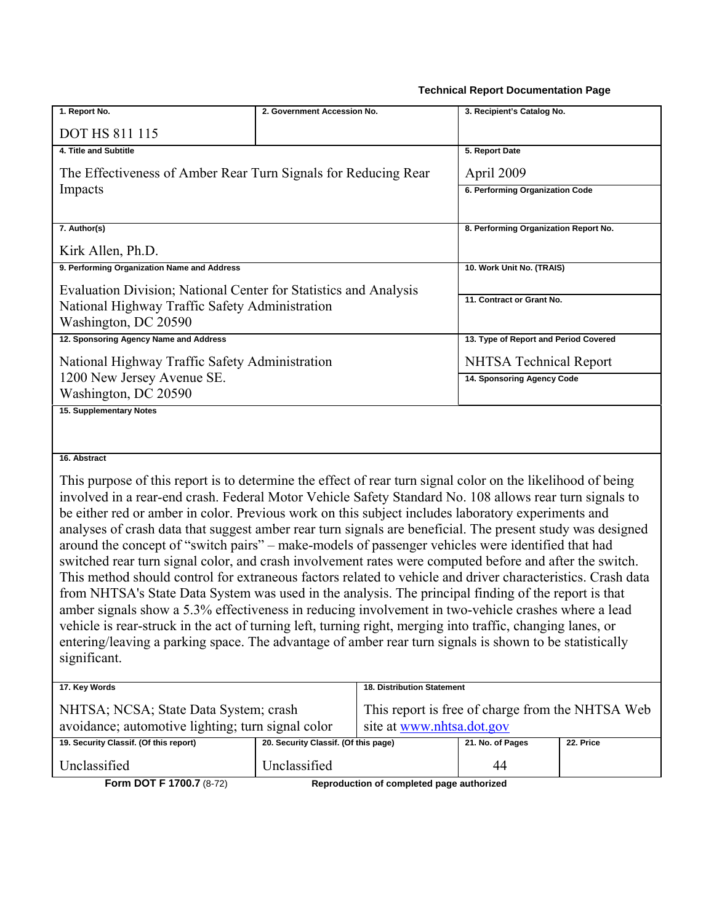#### **Technical Report Documentation Page**

| 1. Report No.                                                                                                                                                                                                     | 2. Government Accession No.                      |                            | 3. Recipient's Catalog No.            |           |  |  |
|-------------------------------------------------------------------------------------------------------------------------------------------------------------------------------------------------------------------|--------------------------------------------------|----------------------------|---------------------------------------|-----------|--|--|
| <b>DOT HS 811 115</b>                                                                                                                                                                                             |                                                  |                            |                                       |           |  |  |
| 4. Title and Subtitle                                                                                                                                                                                             |                                                  |                            | 5. Report Date                        |           |  |  |
| The Effectiveness of Amber Rear Turn Signals for Reducing Rear                                                                                                                                                    |                                                  |                            | April 2009                            |           |  |  |
| Impacts                                                                                                                                                                                                           |                                                  |                            | 6. Performing Organization Code       |           |  |  |
|                                                                                                                                                                                                                   |                                                  |                            |                                       |           |  |  |
| 7. Author(s)                                                                                                                                                                                                      |                                                  |                            | 8. Performing Organization Report No. |           |  |  |
| Kirk Allen, Ph.D.                                                                                                                                                                                                 |                                                  |                            |                                       |           |  |  |
| 9. Performing Organization Name and Address                                                                                                                                                                       |                                                  |                            | 10. Work Unit No. (TRAIS)             |           |  |  |
| Evaluation Division; National Center for Statistics and Analysis                                                                                                                                                  |                                                  |                            |                                       |           |  |  |
| National Highway Traffic Safety Administration                                                                                                                                                                    |                                                  |                            | 11. Contract or Grant No.             |           |  |  |
| Washington, DC 20590                                                                                                                                                                                              |                                                  |                            |                                       |           |  |  |
| 12. Sponsoring Agency Name and Address                                                                                                                                                                            |                                                  |                            | 13. Type of Report and Period Covered |           |  |  |
| National Highway Traffic Safety Administration                                                                                                                                                                    |                                                  |                            | <b>NHTSA Technical Report</b>         |           |  |  |
| 1200 New Jersey Avenue SE.                                                                                                                                                                                        |                                                  |                            | 14. Sponsoring Agency Code            |           |  |  |
| Washington, DC 20590<br>15. Supplementary Notes                                                                                                                                                                   |                                                  |                            |                                       |           |  |  |
|                                                                                                                                                                                                                   |                                                  |                            |                                       |           |  |  |
|                                                                                                                                                                                                                   |                                                  |                            |                                       |           |  |  |
| 16. Abstract                                                                                                                                                                                                      |                                                  |                            |                                       |           |  |  |
| This purpose of this report is to determine the effect of rear turn signal color on the likelihood of being                                                                                                       |                                                  |                            |                                       |           |  |  |
| involved in a rear-end crash. Federal Motor Vehicle Safety Standard No. 108 allows rear turn signals to                                                                                                           |                                                  |                            |                                       |           |  |  |
| be either red or amber in color. Previous work on this subject includes laboratory experiments and                                                                                                                |                                                  |                            |                                       |           |  |  |
| analyses of crash data that suggest amber rear turn signals are beneficial. The present study was designed                                                                                                        |                                                  |                            |                                       |           |  |  |
| around the concept of "switch pairs" - make-models of passenger vehicles were identified that had                                                                                                                 |                                                  |                            |                                       |           |  |  |
| switched rear turn signal color, and crash involvement rates were computed before and after the switch.                                                                                                           |                                                  |                            |                                       |           |  |  |
| This method should control for extraneous factors related to vehicle and driver characteristics. Crash data                                                                                                       |                                                  |                            |                                       |           |  |  |
| from NHTSA's State Data System was used in the analysis. The principal finding of the report is that                                                                                                              |                                                  |                            |                                       |           |  |  |
| amber signals show a 5.3% effectiveness in reducing involvement in two-vehicle crashes where a lead<br>vehicle is rear-struck in the act of turning left, turning right, merging into traffic, changing lanes, or |                                                  |                            |                                       |           |  |  |
| entering/leaving a parking space. The advantage of amber rear turn signals is shown to be statistically                                                                                                           |                                                  |                            |                                       |           |  |  |
| significant.                                                                                                                                                                                                      |                                                  |                            |                                       |           |  |  |
|                                                                                                                                                                                                                   |                                                  |                            |                                       |           |  |  |
| 17. Key Words                                                                                                                                                                                                     |                                                  | 18. Distribution Statement |                                       |           |  |  |
| NHTSA; NCSA; State Data System; crash                                                                                                                                                                             | This report is free of charge from the NHTSA Web |                            |                                       |           |  |  |
| avoidance; automotive lighting; turn signal color                                                                                                                                                                 |                                                  | site at www.nhtsa.dot.gov  |                                       |           |  |  |
| 19. Security Classif. (Of this report)                                                                                                                                                                            | 20. Security Classif. (Of this page)             |                            | 21. No. of Pages                      | 22. Price |  |  |
| Unclassified                                                                                                                                                                                                      | Unclassified                                     |                            | 44                                    |           |  |  |

**Form DOT F 1700.7** (8-72) **Reproduction of completed page authorized**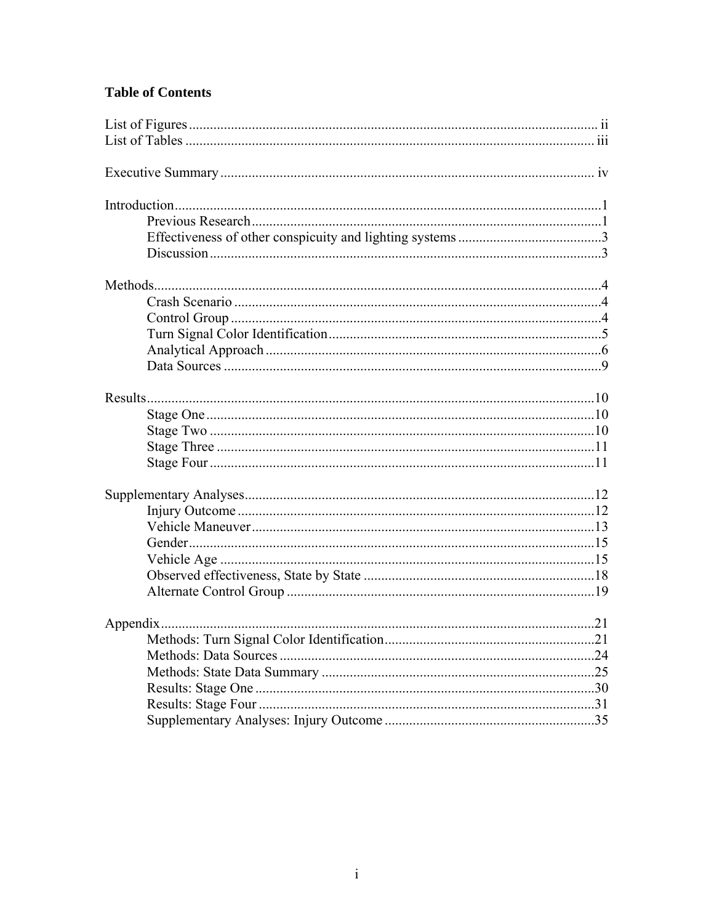# **Table of Contents**

| .21 |
|-----|
|     |
|     |
|     |
|     |
|     |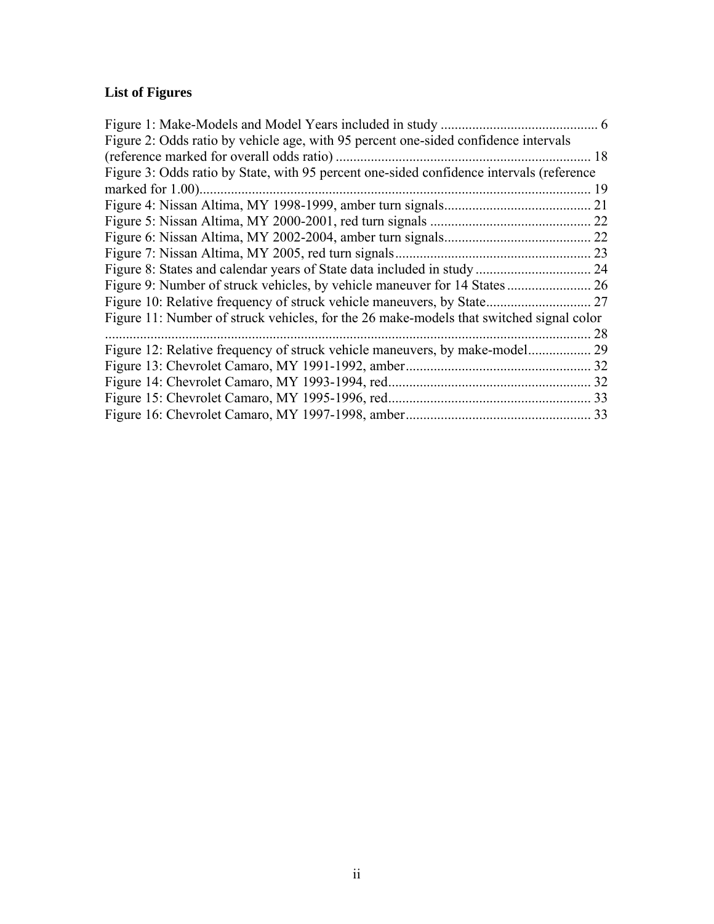# **List of Figures**

| Figure 1: Make-Models and Model Years included in study                                  | 6  |
|------------------------------------------------------------------------------------------|----|
| Figure 2: Odds ratio by vehicle age, with 95 percent one-sided confidence intervals      |    |
| (reference marked for overall odds ratio)                                                | 18 |
| Figure 3: Odds ratio by State, with 95 percent one-sided confidence intervals (reference |    |
| marked for 1.00)                                                                         | 19 |
|                                                                                          | 21 |
|                                                                                          | 22 |
|                                                                                          | 22 |
| Figure 7: Nissan Altima, MY 2005, red turn signals.                                      | 23 |
| Figure 8: States and calendar years of State data included in study                      | 24 |
|                                                                                          | 26 |
| Figure 10: Relative frequency of struck vehicle maneuvers, by State                      | 27 |
| Figure 11: Number of struck vehicles, for the 26 make-models that switched signal color  |    |
|                                                                                          | 28 |
| Figure 12: Relative frequency of struck vehicle maneuvers, by make-model                 | 29 |
| Figure 13: Chevrolet Camaro, MY 1991-1992, amber.                                        | 32 |
| Figure 14: Chevrolet Camaro, MY 1993-1994, red.                                          | 32 |
| Figure 15: Chevrolet Camaro, MY 1995-1996, red.                                          | 33 |
|                                                                                          | 33 |
|                                                                                          |    |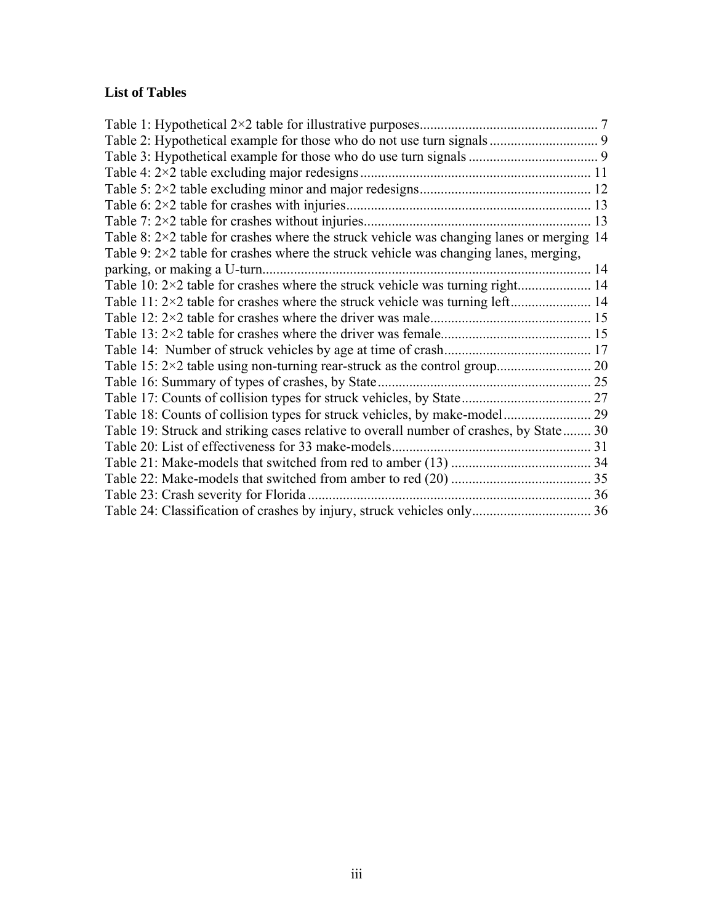# **List of Tables**

| Table 8: $2 \times 2$ table for crashes where the struck vehicle was changing lanes or merging 14 |  |
|---------------------------------------------------------------------------------------------------|--|
| Table 9: $2 \times 2$ table for crashes where the struck vehicle was changing lanes, merging,     |  |
|                                                                                                   |  |
|                                                                                                   |  |
|                                                                                                   |  |
|                                                                                                   |  |
|                                                                                                   |  |
|                                                                                                   |  |
|                                                                                                   |  |
| Table 16: Summary of types of crashes, by State.                                                  |  |
|                                                                                                   |  |
|                                                                                                   |  |
| Table 19: Struck and striking cases relative to overall number of crashes, by State 30            |  |
| Table 20: List of effectiveness for 33 make-models.                                               |  |
|                                                                                                   |  |
|                                                                                                   |  |
| Table 23: Crash severity for Florida.                                                             |  |
|                                                                                                   |  |
|                                                                                                   |  |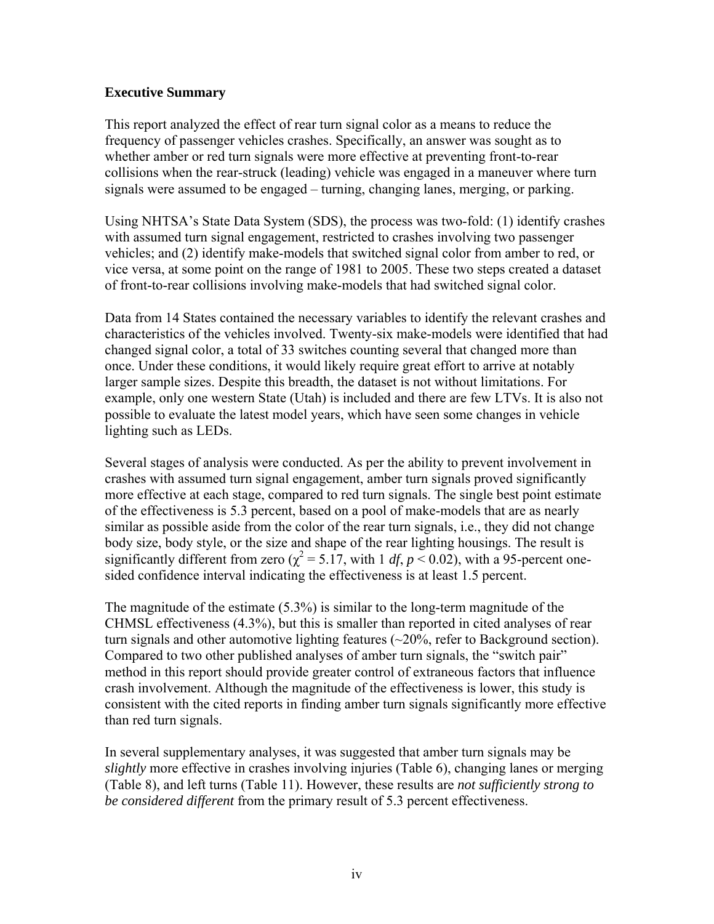## **Executive Summary**

This report analyzed the effect of rear turn signal color as a means to reduce the frequency of passenger vehicles crashes. Specifically, an answer was sought as to whether amber or red turn signals were more effective at preventing front-to-rear collisions when the rear-struck (leading) vehicle was engaged in a maneuver where turn signals were assumed to be engaged – turning, changing lanes, merging, or parking.

Using NHTSA's State Data System (SDS), the process was two-fold: (1) identify crashes with assumed turn signal engagement, restricted to crashes involving two passenger vehicles; and (2) identify make-models that switched signal color from amber to red, or vice versa, at some point on the range of 1981 to 2005. These two steps created a dataset of front-to-rear collisions involving make-models that had switched signal color.

Data from 14 States contained the necessary variables to identify the relevant crashes and characteristics of the vehicles involved. Twenty-six make-models were identified that had changed signal color, a total of 33 switches counting several that changed more than once. Under these conditions, it would likely require great effort to arrive at notably larger sample sizes. Despite this breadth, the dataset is not without limitations. For example, only one western State (Utah) is included and there are few LTVs. It is also not possible to evaluate the latest model years, which have seen some changes in vehicle lighting such as LEDs.

Several stages of analysis were conducted. As per the ability to prevent involvement in crashes with assumed turn signal engagement, amber turn signals proved significantly more effective at each stage, compared to red turn signals. The single best point estimate of the effectiveness is 5.3 percent, based on a pool of make-models that are as nearly similar as possible aside from the color of the rear turn signals, i.e., they did not change body size, body style, or the size and shape of the rear lighting housings. The result is significantly different from zero ( $\chi^2$  = 5.17, with 1 *df*, *p* < 0.02), with a 95-percent onesided confidence interval indicating the effectiveness is at least 1.5 percent.

The magnitude of the estimate (5.3%) is similar to the long-term magnitude of the CHMSL effectiveness (4.3%), but this is smaller than reported in cited analyses of rear turn signals and other automotive lighting features  $(\sim 20\%$ , refer to Background section). Compared to two other published analyses of amber turn signals, the "switch pair" method in this report should provide greater control of extraneous factors that influence crash involvement. Although the magnitude of the effectiveness is lower, this study is consistent with the cited reports in finding amber turn signals significantly more effective than red turn signals.

In several supplementary analyses, it was suggested that amber turn signals may be *slightly* more effective in crashes involving injuries ([Table 6\)](#page-19-1), changing lanes or merging ([Table 8](#page-20-1)), and left turns ([Table 11\)](#page-20-2). However, these results are *not sufficiently strong to be considered different* from the primary result of 5.3 percent effectiveness.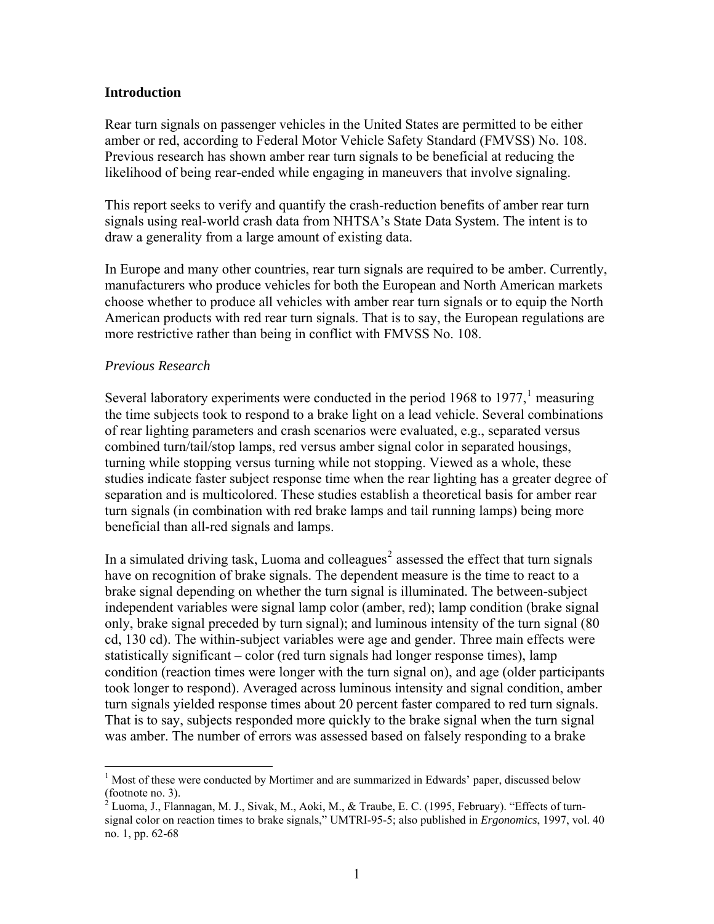#### **Introduction**

Rear turn signals on passenger vehicles in the United States are permitted to be either amber or red, according to Federal Motor Vehicle Safety Standard (FMVSS) No. 108. Previous research has shown amber rear turn signals to be beneficial at reducing the likelihood of being rear-ended while engaging in maneuvers that involve signaling.

This report seeks to verify and quantify the crash-reduction benefits of amber rear turn signals using real-world crash data from NHTSA's State Data System. The intent is to draw a generality from a large amount of existing data.

In Europe and many other countries, rear turn signals are required to be amber. Currently, manufacturers who produce vehicles for both the European and North American markets choose whether to produce all vehicles with amber rear turn signals or to equip the North American products with red rear turn signals. That is to say, the European regulations are more restrictive rather than being in conflict with FMVSS No. 108.

#### *Previous Research*

Several laboratory experiments were conducted in the period [1](#page-7-0)968 to 1977, $<sup>1</sup>$  measuring</sup> the time subjects took to respond to a brake light on a lead vehicle. Several combinations of rear lighting parameters and crash scenarios were evaluated, e.g., separated versus combined turn/tail/stop lamps, red versus amber signal color in separated housings, turning while stopping versus turning while not stopping. Viewed as a whole, these studies indicate faster subject response time when the rear lighting has a greater degree of separation and is multicolored. These studies establish a theoretical basis for amber rear turn signals (in combination with red brake lamps and tail running lamps) being more beneficial than all-red signals and lamps.

In a simulated driving task, Luoma and colleagues<sup>[2](#page-7-1)</sup> assessed the effect that turn signals have on recognition of brake signals. The dependent measure is the time to react to a brake signal depending on whether the turn signal is illuminated. The between-subject independent variables were signal lamp color (amber, red); lamp condition (brake signal only, brake signal preceded by turn signal); and luminous intensity of the turn signal (80 cd, 130 cd). The within-subject variables were age and gender. Three main effects were statistically significant – color (red turn signals had longer response times), lamp condition (reaction times were longer with the turn signal on), and age (older participants took longer to respond). Averaged across luminous intensity and signal condition, amber turn signals yielded response times about 20 percent faster compared to red turn signals. That is to say, subjects responded more quickly to the brake signal when the turn signal was amber. The number of errors was assessed based on falsely responding to a brake

<span id="page-7-0"></span><sup>&</sup>lt;sup>1</sup> Most of these were conducted by Mortimer and are summarized in Edwards' paper, discussed below (footnote no. 3).<br><sup>2</sup> Luoma, J., Flannagan, M. J., Sivak, M., Aoki, M., & Traube, E. C. (1995, February). "Effects of turn-

<span id="page-7-1"></span>signal color on reaction times to brake signals," UMTRI-95-5; also published in *Ergonomics*, 1997, vol. 40 no. 1, pp. 62-68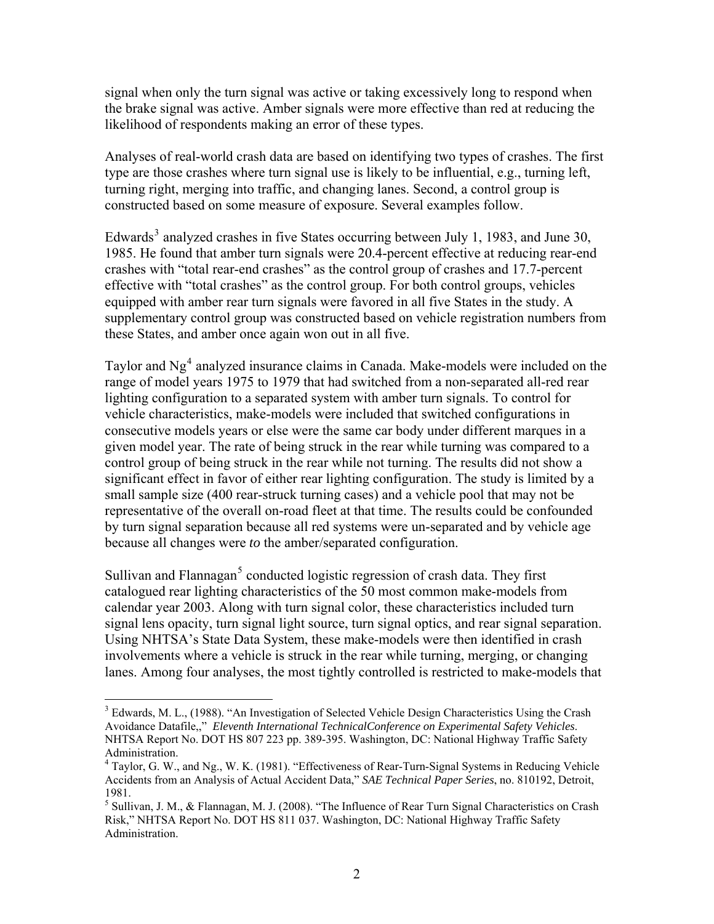signal when only the turn signal was active or taking excessively long to respond when the brake signal was active. Amber signals were more effective than red at reducing the likelihood of respondents making an error of these types.

Analyses of real-world crash data are based on identifying two types of crashes. The first type are those crashes where turn signal use is likely to be influential, e.g., turning left, turning right, merging into traffic, and changing lanes. Second, a control group is constructed based on some measure of exposure. Several examples follow.

Edwards<sup>[3](#page-8-0)</sup> analyzed crashes in five States occurring between July 1, 1983, and June 30, 1985. He found that amber turn signals were 20.4-percent effective at reducing rear-end crashes with "total rear-end crashes" as the control group of crashes and 17.7-percent effective with "total crashes" as the control group. For both control groups, vehicles equipped with amber rear turn signals were favored in all five States in the study. A supplementary control group was constructed based on vehicle registration numbers from these States, and amber once again won out in all five.

Taylor and  $Ng<sup>4</sup>$  $Ng<sup>4</sup>$  $Ng<sup>4</sup>$  analyzed insurance claims in Canada. Make-models were included on the range of model years 1975 to 1979 that had switched from a non-separated all-red rear lighting configuration to a separated system with amber turn signals. To control for vehicle characteristics, make-models were included that switched configurations in consecutive models years or else were the same car body under different marques in a given model year. The rate of being struck in the rear while turning was compared to a control group of being struck in the rear while not turning. The results did not show a significant effect in favor of either rear lighting configuration. The study is limited by a small sample size (400 rear-struck turning cases) and a vehicle pool that may not be representative of the overall on-road fleet at that time. The results could be confounded by turn signal separation because all red systems were un-separated and by vehicle age because all changes were *to* the amber/separated configuration.

Sullivan and Flannagan<sup>[5](#page-8-2)</sup> conducted logistic regression of crash data. They first catalogued rear lighting characteristics of the 50 most common make-models from calendar year 2003. Along with turn signal color, these characteristics included turn signal lens opacity, turn signal light source, turn signal optics, and rear signal separation. Using NHTSA's State Data System, these make-models were then identified in crash involvements where a vehicle is struck in the rear while turning, merging, or changing lanes. Among four analyses, the most tightly controlled is restricted to make-models that

<span id="page-8-0"></span><sup>&</sup>lt;sup>3</sup> Edwards, M. L., (1988). "An Investigation of Selected Vehicle Design Characteristics Using the Crash Avoidance Datafile,," *Eleventh International TechnicalConference on Experimental Safety Vehicles*. NHTSA Report No. DOT HS 807 223 pp. 389-395. Washington, DC: National Highway Traffic Safety Administration.

<span id="page-8-1"></span><sup>&</sup>lt;sup>4</sup> Taylor, G. W., and Ng., W. K. (1981). "Effectiveness of Rear-Turn-Signal Systems in Reducing Vehicle Accidents from an Analysis of Actual Accident Data," *SAE Technical Paper Series*, no. 810192, Detroit, 1981.

<span id="page-8-2"></span><sup>&</sup>lt;sup>5</sup> Sullivan, J. M., & Flannagan, M. J. (2008). "The Influence of Rear Turn Signal Characteristics on Crash Risk," NHTSA Report No. DOT HS 811 037. Washington, DC: National Highway Traffic Safety Administration.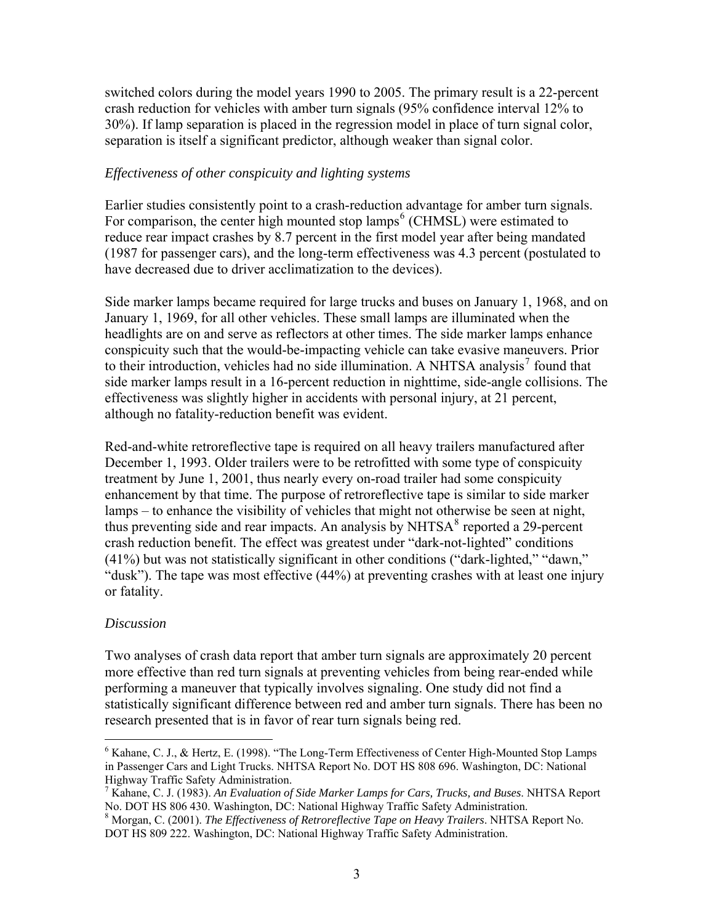switched colors during the model years 1990 to 2005. The primary result is a 22-percent crash reduction for vehicles with amber turn signals (95% confidence interval 12% to 30%). If lamp separation is placed in the regression model in place of turn signal color, separation is itself a significant predictor, although weaker than signal color.

#### *Effectiveness of other conspicuity and lighting systems*

Earlier studies consistently point to a crash-reduction advantage for amber turn signals. For comparison, the center high mounted stop lamps<sup>[6](#page-9-0)</sup> (CHMSL) were estimated to reduce rear impact crashes by 8.7 percent in the first model year after being mandated (1987 for passenger cars), and the long-term effectiveness was 4.3 percent (postulated to have decreased due to driver acclimatization to the devices).

Side marker lamps became required for large trucks and buses on January 1, 1968, and on January 1, 1969, for all other vehicles. These small lamps are illuminated when the headlights are on and serve as reflectors at other times. The side marker lamps enhance conspicuity such that the would-be-impacting vehicle can take evasive maneuvers. Prior to their introduction, vehicles had no side illumination. A NHTSA analysis<sup>[7](#page-9-1)</sup> found that side marker lamps result in a 16-percent reduction in nighttime, side-angle collisions. The effectiveness was slightly higher in accidents with personal injury, at 21 percent, although no fatality-reduction benefit was evident.

Red-and-white retroreflective tape is required on all heavy trailers manufactured after December 1, 1993. Older trailers were to be retrofitted with some type of conspicuity treatment by June 1, 2001, thus nearly every on-road trailer had some conspicuity enhancement by that time. The purpose of retroreflective tape is similar to side marker lamps – to enhance the visibility of vehicles that might not otherwise be seen at night, thus preventing side and rear impacts. An analysis by NHTSA<sup>[8](#page-9-2)</sup> reported a 29-percent crash reduction benefit. The effect was greatest under "dark-not-lighted" conditions (41%) but was not statistically significant in other conditions ("dark-lighted," "dawn," "dusk"). The tape was most effective (44%) at preventing crashes with at least one injury or fatality.

#### *Discussion*

Two analyses of crash data report that amber turn signals are approximately 20 percent more effective than red turn signals at preventing vehicles from being rear-ended while performing a maneuver that typically involves signaling. One study did not find a statistically significant difference between red and amber turn signals. There has been no research presented that is in favor of rear turn signals being red.

<span id="page-9-0"></span> $6$  Kahane, C. J., & Hertz, E. (1998). "The Long-Term Effectiveness of Center High-Mounted Stop Lamps in Passenger Cars and Light Trucks. NHTSA Report No. DOT HS 808 696. Washington, DC: National Highway Traffic Safety Administration.

<span id="page-9-1"></span><sup>7</sup> Kahane, C. J. (1983). *An Evaluation of Side Marker Lamps for Cars, Trucks, and Buses*. NHTSA Report No. DOT HS 806 430. Washington, DC: National Highway Traffic Safety Administration. <sup>8</sup>

<span id="page-9-2"></span>Morgan, C. (2001). *The Effectiveness of Retroreflective Tape on Heavy Trailers*. NHTSA Report No. DOT HS 809 222. Washington, DC: National Highway Traffic Safety Administration.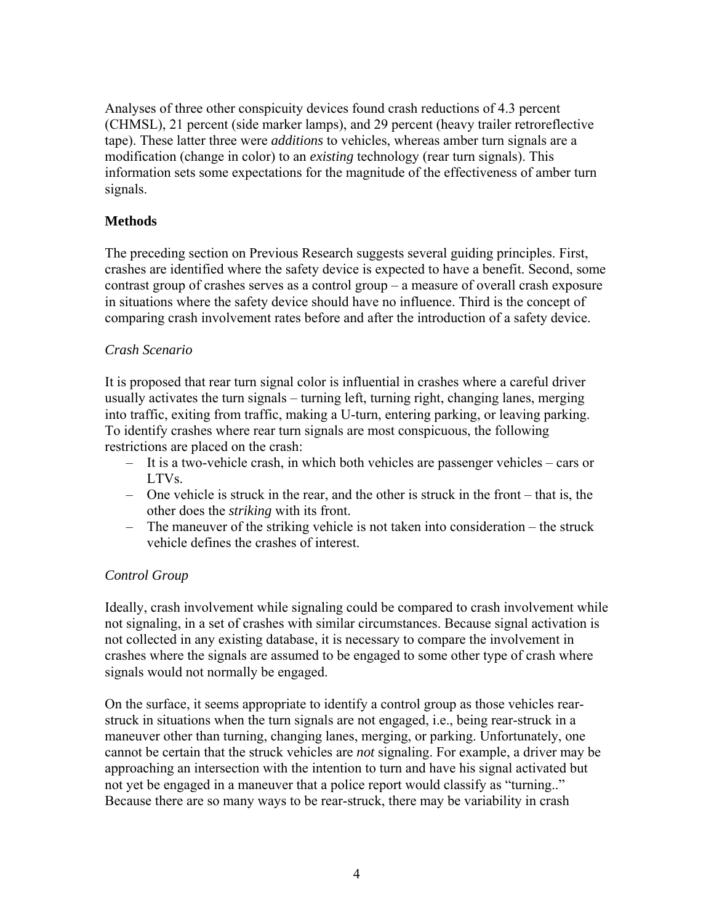Analyses of three other conspicuity devices found crash reductions of 4.3 percent (CHMSL), 21 percent (side marker lamps), and 29 percent (heavy trailer retroreflective tape). These latter three were *additions* to vehicles, whereas amber turn signals are a modification (change in color) to an *existing* technology (rear turn signals). This information sets some expectations for the magnitude of the effectiveness of amber turn signals.

# **Methods**

The preceding section on Previous Research suggests several guiding principles. First, crashes are identified where the safety device is expected to have a benefit. Second, some contrast group of crashes serves as a control group – a measure of overall crash exposure in situations where the safety device should have no influence. Third is the concept of comparing crash involvement rates before and after the introduction of a safety device.

# *Crash Scenario*

It is proposed that rear turn signal color is influential in crashes where a careful driver usually activates the turn signals – turning left, turning right, changing lanes, merging into traffic, exiting from traffic, making a U-turn, entering parking, or leaving parking. To identify crashes where rear turn signals are most conspicuous, the following restrictions are placed on the crash:

- It is a two-vehicle crash, in which both vehicles are passenger vehicles cars or LTVs.
- One vehicle is struck in the rear, and the other is struck in the front that is, the other does the *striking* with its front.
- The maneuver of the striking vehicle is not taken into consideration the struck vehicle defines the crashes of interest.

# *Control Group*

Ideally, crash involvement while signaling could be compared to crash involvement while not signaling, in a set of crashes with similar circumstances. Because signal activation is not collected in any existing database, it is necessary to compare the involvement in crashes where the signals are assumed to be engaged to some other type of crash where signals would not normally be engaged.

On the surface, it seems appropriate to identify a control group as those vehicles rearstruck in situations when the turn signals are not engaged, i.e., being rear-struck in a maneuver other than turning, changing lanes, merging, or parking. Unfortunately, one cannot be certain that the struck vehicles are *not* signaling. For example, a driver may be approaching an intersection with the intention to turn and have his signal activated but not yet be engaged in a maneuver that a police report would classify as "turning.." Because there are so many ways to be rear-struck, there may be variability in crash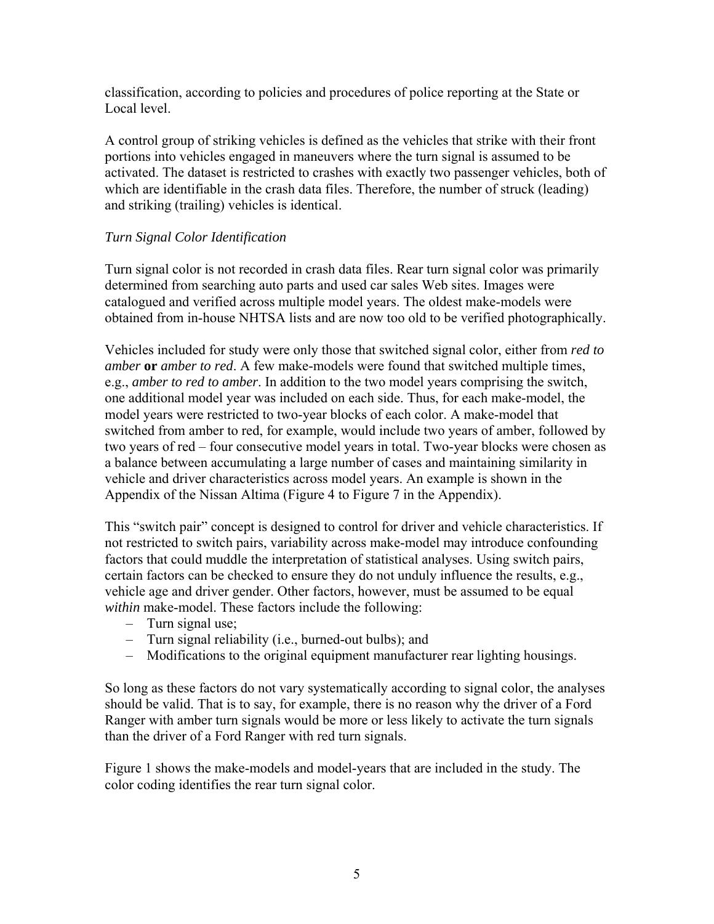classification, according to policies and procedures of police reporting at the State or Local level.

A control group of striking vehicles is defined as the vehicles that strike with their front portions into vehicles engaged in maneuvers where the turn signal is assumed to be activated. The dataset is restricted to crashes with exactly two passenger vehicles, both of which are identifiable in the crash data files. Therefore, the number of struck (leading) and striking (trailing) vehicles is identical.

# <span id="page-11-0"></span>*Turn Signal Color Identification*

Turn signal color is not recorded in crash data files. Rear turn signal color was primarily determined from searching auto parts and used car sales Web sites. Images were catalogued and verified across multiple model years. The oldest make-models were obtained from in-house NHTSA lists and are now too old to be verified photographically.

Vehicles included for study were only those that switched signal color, either from *red to amber* **or** *amber to red*. A few make-models were found that switched multiple times, e.g., *amber to red to amber*. In addition to the two model years comprising the switch, one additional model year was included on each side. Thus, for each make-model, the model years were restricted to two-year blocks of each color. A make-model that switched from amber to red, for example, would include two years of amber, followed by two years of red – four consecutive model years in total. Two-year blocks were chosen as a balance between accumulating a large number of cases and maintaining similarity in vehicle and driver characteristics across model years. An example is shown in the Appendix of the Nissan Altima ([Figure 4](#page-27-1) to [Figure 7](#page-29-1) in the Appendix).

This "switch pair" concept is designed to control for driver and vehicle characteristics. If not restricted to switch pairs, variability across make-model may introduce confounding factors that could muddle the interpretation of statistical analyses. Using switch pairs, certain factors can be checked to ensure they do not unduly influence the results, e.g., vehicle age and driver gender. Other factors, however, must be assumed to be equal *within* make-model. These factors include the following:

- Turn signal use;
- Turn signal reliability (i.e., burned-out bulbs); and
- Modifications to the original equipment manufacturer rear lighting housings.

So long as these factors do not vary systematically according to signal color, the analyses should be valid. That is to say, for example, there is no reason why the driver of a Ford Ranger with amber turn signals would be more or less likely to activate the turn signals than the driver of a Ford Ranger with red turn signals.

[Figure 1](#page-12-1) shows the make-models and model-years that are included in the study. The color coding identifies the rear turn signal color.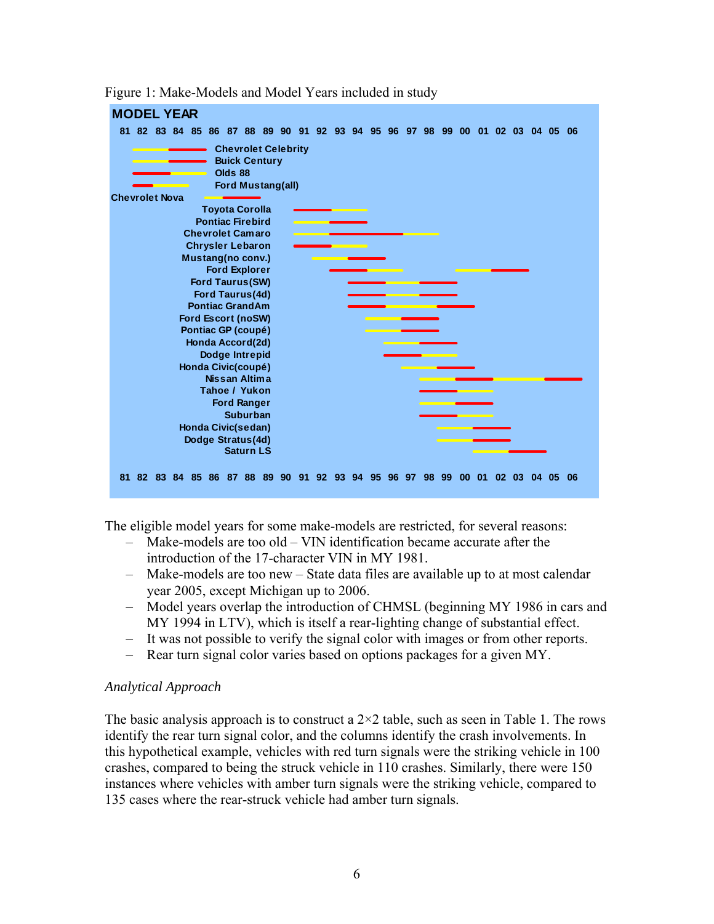<span id="page-12-1"></span>

<span id="page-12-0"></span>Figure 1: Make-Models and Model Years included in study

The eligible model years for some make-models are restricted, for several reasons:

- Make-models are too old VIN identification became accurate after the introduction of the 17-character VIN in MY 1981.
- Make-models are too new State data files are available up to at most calendar year 2005, except Michigan up to 2006.
- Model years overlap the introduction of CHMSL (beginning MY 1986 in cars and MY 1994 in LTV), which is itself a rear-lighting change of substantial effect.
- It was not possible to verify the signal color with images or from other reports.
- Rear turn signal color varies based on options packages for a given MY.

#### *Analytical Approach*

The basic analysis approach is to construct a  $2\times 2$  table, such as seen in [Table 1.](#page-13-1) The rows identify the rear turn signal color, and the columns identify the crash involvements. In this hypothetical example, vehicles with red turn signals were the striking vehicle in 100 crashes, compared to being the struck vehicle in 110 crashes. Similarly, there were 150 instances where vehicles with amber turn signals were the striking vehicle, compared to 135 cases where the rear-struck vehicle had amber turn signals.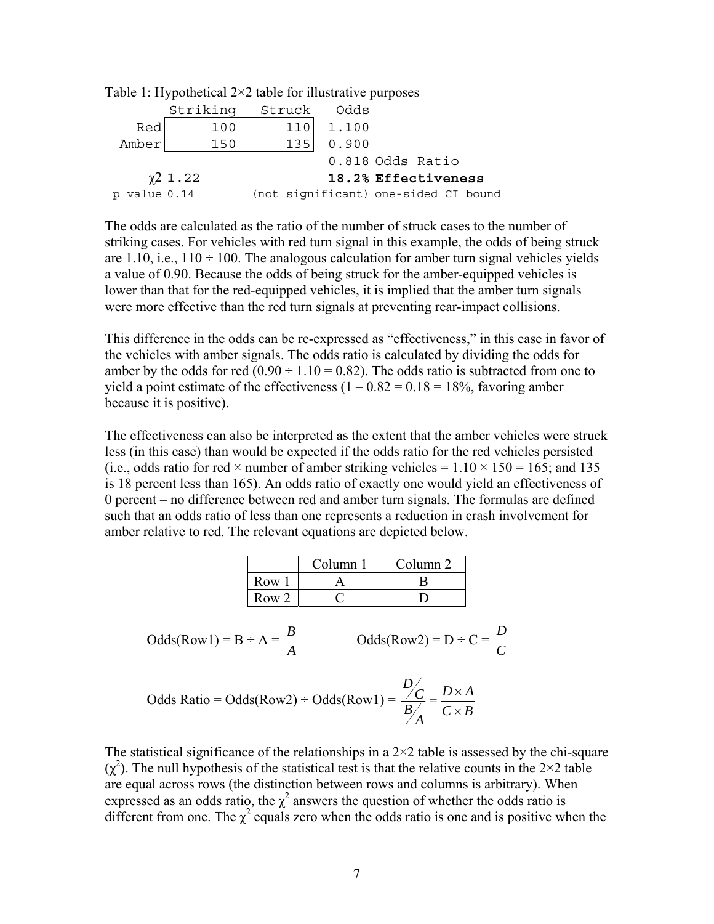|              | $\frac{1}{2}$ and $\frac{1}{2}$ . If $\frac{1}{2}$ pointed $\frac{1}{2}$ and $\frac{1}{2}$ is the integrative purposes |                                      |       |                     |  |
|--------------|------------------------------------------------------------------------------------------------------------------------|--------------------------------------|-------|---------------------|--|
|              | Striking                                                                                                               | Struck                               | Odds  |                     |  |
| Red          | 100                                                                                                                    | 110                                  | 1.100 |                     |  |
| Amber        | 150                                                                                                                    | 135                                  | 0.900 |                     |  |
|              |                                                                                                                        |                                      |       | 0.818 Odds Ratio    |  |
|              | $\chi$ <sup>2</sup> 1.22                                                                                               |                                      |       | 18.2% Effectiveness |  |
| p value 0.14 |                                                                                                                        | (not significant) one-sided CI bound |       |                     |  |

<span id="page-13-1"></span><span id="page-13-0"></span>Table 1: Hypothetical  $2\times 2$  table for illustrative purposes

The odds are calculated as the ratio of the number of struck cases to the number of striking cases. For vehicles with red turn signal in this example, the odds of being struck are 1.10, i.e.,  $110 \div 100$ . The analogous calculation for amber turn signal vehicles yields a value of 0.90. Because the odds of being struck for the amber-equipped vehicles is lower than that for the red-equipped vehicles, it is implied that the amber turn signals were more effective than the red turn signals at preventing rear-impact collisions.

This difference in the odds can be re-expressed as "effectiveness," in this case in favor of the vehicles with amber signals. The odds ratio is calculated by dividing the odds for amber by the odds for red  $(0.90 \div 1.10 = 0.82)$ . The odds ratio is subtracted from one to yield a point estimate of the effectiveness  $(1 - 0.82 = 0.18 = 18\%$ , favoring amber because it is positive).

The effectiveness can also be interpreted as the extent that the amber vehicles were struck less (in this case) than would be expected if the odds ratio for the red vehicles persisted (i.e., odds ratio for red  $\times$  number of amber striking vehicles = 1.10  $\times$  150 = 165; and 135 is 18 percent less than 165). An odds ratio of exactly one would yield an effectiveness of 0 percent – no difference between red and amber turn signals. The formulas are defined such that an odds ratio of less than one represents a reduction in crash involvement for amber relative to red. The relevant equations are depicted below.

|                  | Column 1 | Column 2 |
|------------------|----------|----------|
| Row 1            |          |          |
| Row <sub>2</sub> |          |          |

Odds(Row1) = B ÷ A = 
$$
\frac{B}{A}
$$
  
Odds(Row2) = D ÷ C =  $\frac{D}{C}$ 

Odds Ratio = Odds(Row2) ÷ Odds(Row1) = 
$$
\frac{D}{B/A} = \frac{D \times A}{C \times B}
$$

The statistical significance of the relationships in a  $2\times 2$  table is assessed by the chi-square  $(χ<sup>2</sup>)$ . The null hypothesis of the statistical test is that the relative counts in the 2×2 table are equal across rows (the distinction between rows and columns is arbitrary). When expressed as an odds ratio, the  $\chi^2$  answers the question of whether the odds ratio is different from one. The  $\chi^2$  equals zero when the odds ratio is one and is positive when the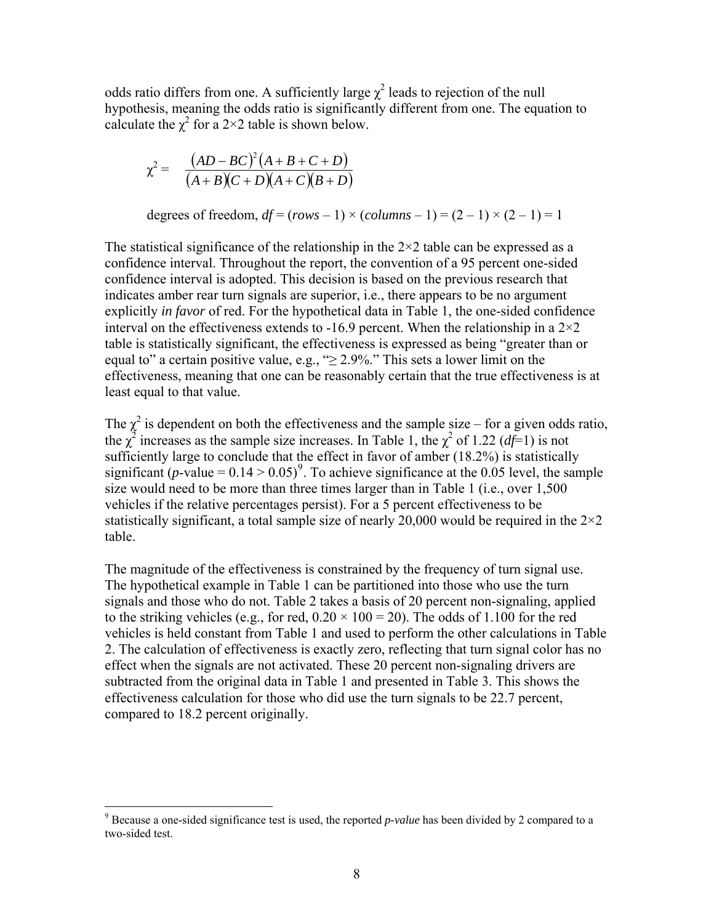odds ratio differs from one. A sufficiently large  $\chi^2$  leads to rejection of the null hypothesis, meaning the odds ratio is significantly different from one. The equation to calculate the  $\chi^2$  for a 2×2 table is shown below.

$$
\chi^2 = \frac{(AD-BC)^2 (A+B+C+D)}{(A+B)(C+D)(A+C)(B+D)}
$$

degrees of freedom,  $df = (rows - 1) \times (columns - 1) = (2 - 1) \times (2 - 1) = 1$ 

The statistical significance of the relationship in the  $2\times 2$  table can be expressed as a confidence interval. Throughout the report, the convention of a 95 percent one-sided confidence interval is adopted. This decision is based on the previous research that indicates amber rear turn signals are superior, i.e., there appears to be no argument explicitly *in favor* of red. For the hypothetical data in [Table 1,](#page-13-1) the one-sided confidence interval on the effectiveness extends to -16.9 percent. When the relationship in a  $2\times 2$ table is statistically significant, the effectiveness is expressed as being "greater than or equal to" a certain positive value, e.g., " $\geq$  2.9%." This sets a lower limit on the effectiveness, meaning that one can be reasonably certain that the true effectiveness is at least equal to that value.

The  $\chi^2$  is dependent on both the effectiveness and the sample size – for a given odds ratio, the  $\chi^2$  increases as the sample size increases. In [Table 1,](#page-13-1) the  $\chi^2$  of 1.22 (*df*=1) is not sufficiently large to conclude that the effect in favor of amber (18.2%) is statistically significant (*p*-value =  $0.14 > 0.05$ )<sup>[9](#page-14-0)</sup>. To achieve significance at the 0.05 level, the sample size would need to be more than three times larger than in [Table 1](#page-13-1) (i.e., over 1,500 vehicles if the relative percentages persist). For a 5 percent effectiveness to be statistically significant, a total sample size of nearly 20,000 would be required in the  $2\times 2$ table.

The magnitude of the effectiveness is constrained by the frequency of turn signal use. The hypothetical example in [Table 1](#page-13-1) can be partitioned into those who use the turn signals and those who do not. [Table 2](#page-15-1) takes a basis of 20 percent non-signaling, applied to the striking vehicles (e.g., for red,  $0.20 \times 100 = 20$ ). The odds of 1.100 for the red vehicles is held constant from [Table 1](#page-13-1) and used to perform the other calculations in [Table](#page-15-1)  [2](#page-15-1). The calculation of effectiveness is exactly zero, reflecting that turn signal color has no effect when the signals are not activated. These 20 percent non-signaling drivers are subtracted from the original data in [Table 1](#page-13-1) and presented in [Table 3](#page-15-2). This shows the effectiveness calculation for those who did use the turn signals to be 22.7 percent, compared to 18.2 percent originally.

<span id="page-14-0"></span><sup>&</sup>lt;sup>9</sup> Because a one-sided significance test is used, the reported *p-value* has been divided by 2 compared to a two-sided test.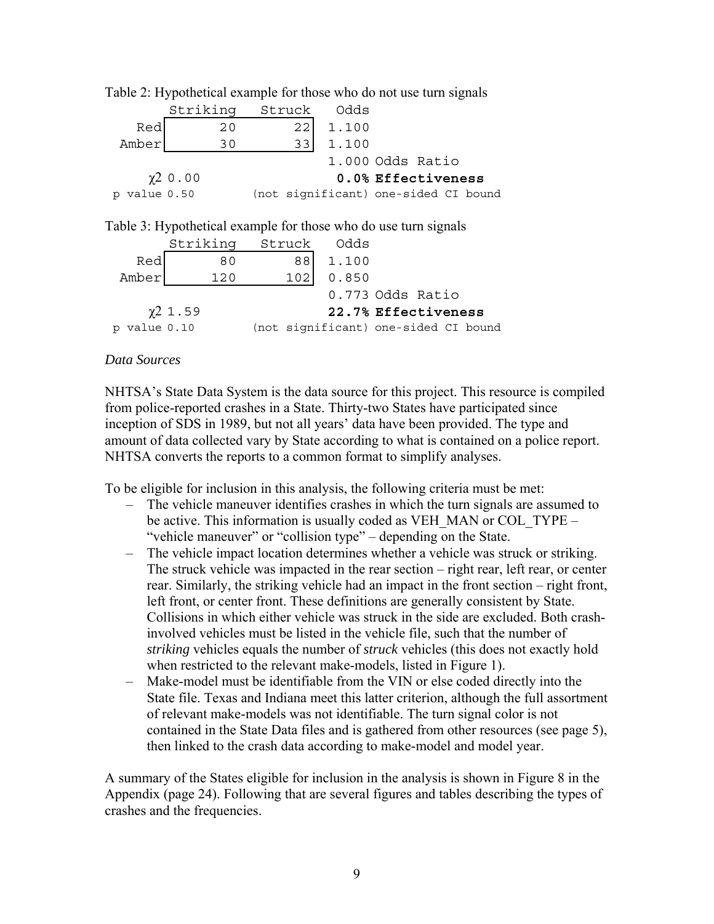<span id="page-15-2"></span>

|                 | Striking                 | Struck | Odds  |                                                                 |
|-----------------|--------------------------|--------|-------|-----------------------------------------------------------------|
| Red             | 20                       | 22     | 1.100 |                                                                 |
| Amber           | 30                       | 33     | 1.100 |                                                                 |
|                 |                          |        |       | 1.000 Odds Ratio                                                |
|                 | $\chi$ <sup>2</sup> 0.00 |        |       | 0.0% Effectiveness                                              |
| value 0.50<br>p |                          |        |       | (not significant) one-sided CI bound                            |
|                 |                          |        |       | Table 3: Hypothetical example for those who do use turn signals |
|                 | Striking                 | Struck | Odds  |                                                                 |
| Red             | 80                       | 88     | 1.100 |                                                                 |
| Amber           | 120                      | 102    | 0.850 |                                                                 |
|                 |                          |        |       | 0.773 Odds Ratio                                                |
|                 | $x^2$ 1.59               |        |       | 22.7% Effectiveness                                             |
| p value 0.10    |                          |        |       | (not significant) one-sided CI bound                            |

<span id="page-15-1"></span><span id="page-15-0"></span>Table 2: Hypothetical example for those who do not use turn signals

#### *Data Sources*

NHTSA's State Data System is the data source for this project. This resource is compiled from police-reported crashes in a State. Thirty-two States have participated since inception of SDS in 1989, but not all years' data have been provided. The type and amount of data collected vary by State according to what is contained on a police report. NHTSA converts the reports to a common format to simplify analyses.

<span id="page-15-3"></span>To be eligible for inclusion in this analysis, the following criteria must be met:

- The vehicle maneuver identifies crashes in which the turn signals are assumed to be active. This information is usually coded as VEH\_MAN or COL\_TYPE – "vehicle maneuver" or "collision type" – depending on the State.
- The vehicle impact location determines whether a vehicle was struck or striking. The struck vehicle was impacted in the rear section – right rear, left rear, or center rear. Similarly, the striking vehicle had an impact in the front section – right front, left front, or center front. These definitions are generally consistent by State. Collisions in which either vehicle was struck in the side are excluded. Both crashinvolved vehicles must be listed in the vehicle file, such that the number of *striking* vehicles equals the number of *struck* vehicles (this does not exactly hold when restricted to the relevant make-models, listed in [Figure 1\)](#page-12-1).
- Make-model must be identifiable from the VIN or else coded directly into the State file. Texas and Indiana meet this latter criterion, although the full assortment of relevant make-models was not identifiable. The turn signal color is not contained in the State Data files and is gathered from other resources (see page [5\)](#page-11-0), then linked to the crash data according to make-model and model year.

A summary of the States eligible for inclusion in the analysis is shown in [Figure 8](#page-30-1) in the Appendix (page [24\)](#page-30-1). Following that are several figures and tables describing the types of crashes and the frequencies.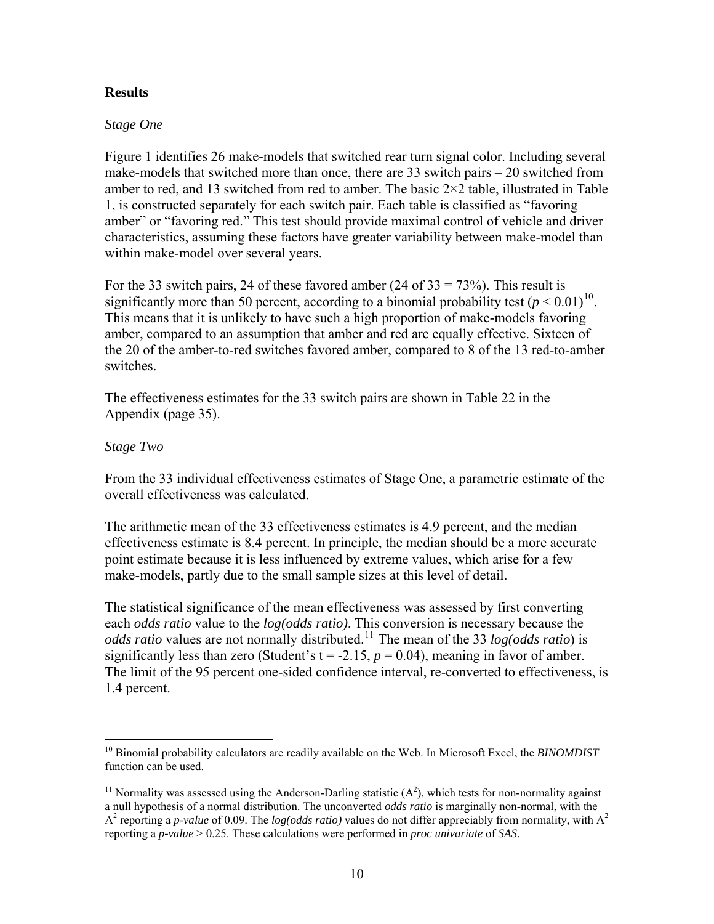## **Results**

#### *Stage One*

[Figure 1](#page-12-1) identifies 26 make-models that switched rear turn signal color. Including several make-models that switched more than once, there are 33 switch pairs – 20 switched from amber to red, and 13 switched from red to amber. The basic  $2\times 2$  table, illustrated in Table [1](#page-13-1), is constructed separately for each switch pair. Each table is classified as "favoring amber" or "favoring red." This test should provide maximal control of vehicle and driver characteristics, assuming these factors have greater variability between make-model than within make-model over several years.

For the 33 switch pairs, 24 of these favored amber  $(24 \text{ of } 33 = 73\%)$ . This result is significantly more than 50 percent, according to a binomial probability test  $(p < 0.01)^{10}$  $(p < 0.01)^{10}$  $(p < 0.01)^{10}$ . This means that it is unlikely to have such a high proportion of make-models favoring amber, compared to an assumption that amber and red are equally effective. Sixteen of the 20 of the amber-to-red switches favored amber, compared to 8 of the 13 red-to-amber switches.

The effectiveness estimates for the 33 switch pairs are shown in [Table 22](#page-41-1) in the Appendix (page [35\)](#page-41-1).

## *Stage Two*

From the 33 individual effectiveness estimates of Stage One, a parametric estimate of the overall effectiveness was calculated.

The arithmetic mean of the 33 effectiveness estimates is 4.9 percent, and the median effectiveness estimate is 8.4 percent. In principle, the median should be a more accurate point estimate because it is less influenced by extreme values, which arise for a few make-models, partly due to the small sample sizes at this level of detail.

The statistical significance of the mean effectiveness was assessed by first converting each *odds ratio* value to the *log(odds ratio)*. This conversion is necessary because the *odds ratio* values are not normally distributed.<sup>[11](#page-16-1)</sup> The mean of the 33 *log(odds ratio*) is significantly less than zero (Student's  $t = -2.15$ ,  $p = 0.04$ ), meaning in favor of amber. The limit of the 95 percent one-sided confidence interval, re-converted to effectiveness, is 1.4 percent.

<span id="page-16-0"></span><sup>10</sup> Binomial probability calculators are readily available on the Web. In Microsoft Excel, the *BINOMDIST* function can be used.

<span id="page-16-1"></span><sup>&</sup>lt;sup>11</sup> Normality was assessed using the Anderson-Darling statistic  $(A^2)$ , which tests for non-normality against a null hypothesis of a normal distribution. The unconverted *odds ratio* is marginally non-normal, with the  $A<sup>2</sup>$  reporting a *p-value* of 0.09. The *log(odds ratio)* values do not differ appreciably from normality, with  $A<sup>2</sup>$ reporting a *p-value* > 0.25. These calculations were performed in *proc univariate* of *SAS*.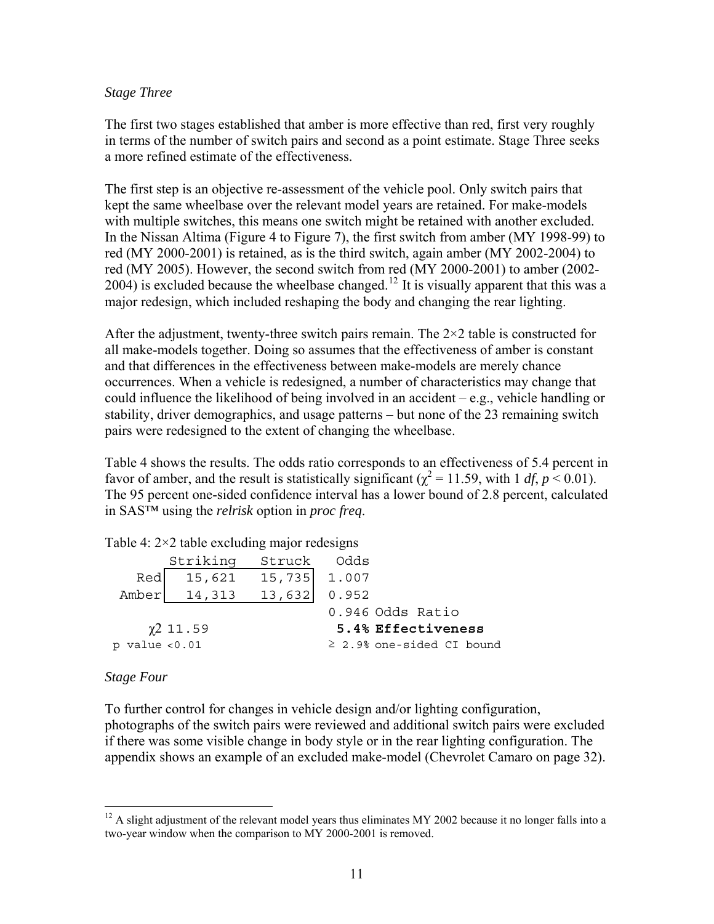#### <span id="page-17-0"></span>*Stage Three*

The first two stages established that amber is more effective than red, first very roughly in terms of the number of switch pairs and second as a point estimate. Stage Three seeks a more refined estimate of the effectiveness.

The first step is an objective re-assessment of the vehicle pool. Only switch pairs that kept the same wheelbase over the relevant model years are retained. For make-models with multiple switches, this means one switch might be retained with another excluded. In the Nissan Altima ([Figure 4](#page-27-1) to [Figure 7\)](#page-29-1), the first switch from amber (MY 1998-99) to red (MY 2000-2001) is retained, as is the third switch, again amber (MY 2002-2004) to red (MY 2005). However, the second switch from red (MY 2000-2001) to amber (2002-  $2004$ ) is excluded because the wheelbase changed.<sup>[12](#page-17-1)</sup> It is visually apparent that this was a major redesign, which included reshaping the body and changing the rear lighting.

After the adjustment, twenty-three switch pairs remain. The  $2\times 2$  table is constructed for all make-models together. Doing so assumes that the effectiveness of amber is constant and that differences in the effectiveness between make-models are merely chance occurrences. When a vehicle is redesigned, a number of characteristics may change that could influence the likelihood of being involved in an accident – e.g., vehicle handling or stability, driver demographics, and usage patterns – but none of the 23 remaining switch pairs were redesigned to the extent of changing the wheelbase.

[Table 4](#page-17-2) shows the results. The odds ratio corresponds to an effectiveness of 5.4 percent in favor of amber, and the result is statistically significant ( $\chi^2$  = 11.59, with 1 *df*, *p* < 0.01). The 95 percent one-sided confidence interval has a lower bound of 2.8 percent, calculated in SAS™ using the *relrisk* option in *proc freq*.

|                    | Striking       | Struck Odds  |                                |
|--------------------|----------------|--------------|--------------------------------|
| Red                | 15,621         | 15,735 1.007 |                                |
|                    | Amber 14,313   | 13,632       | 0.952                          |
|                    |                |              | 0.946 Odds Ratio               |
|                    | $\chi$ 2 11.59 |              | 5.4% Effectiveness             |
| $p$ value $< 0.01$ |                |              | $\geq$ 2.9% one-sided CI bound |
|                    |                |              |                                |

<span id="page-17-2"></span>Table 4:  $2 \times 2$  table excluding major redesigns

#### *Stage Four*

To further control for changes in vehicle design and/or lighting configuration, photographs of the switch pairs were reviewed and additional switch pairs were excluded if there was some visible change in body style or in the rear lighting configuration. The appendix shows an example of an excluded make-model (Chevrolet Camaro on page [32\)](#page-38-1).

<span id="page-17-1"></span> $12$  A slight adjustment of the relevant model years thus eliminates MY 2002 because it no longer falls into a two-year window when the comparison to MY 2000-2001 is removed.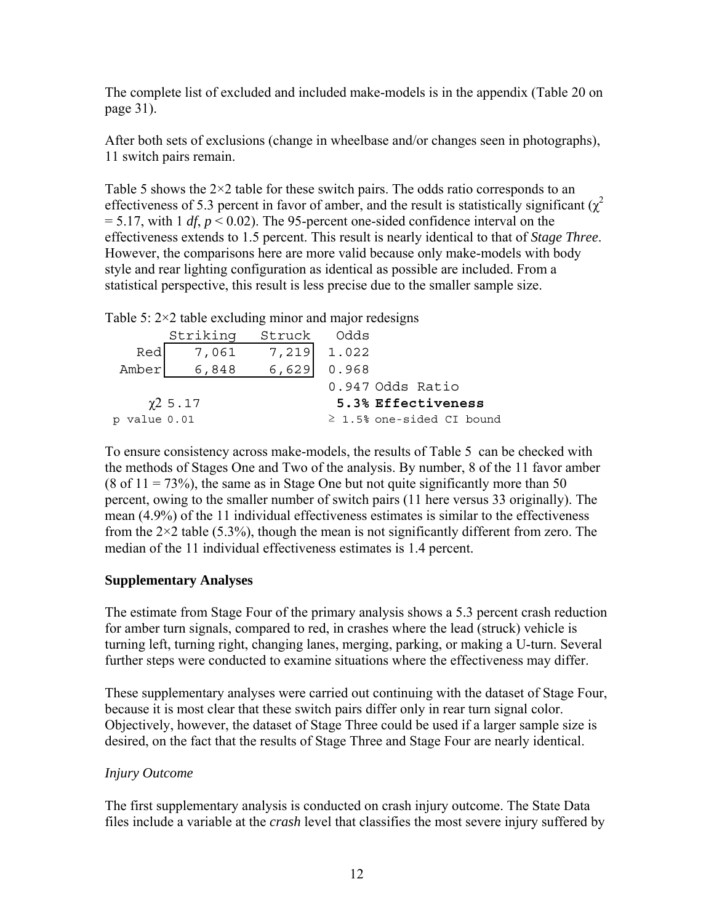<span id="page-18-0"></span>The complete list of excluded and included make-models is in the appendix ([Table 20](#page-37-1) on page [31\)](#page-37-1).

After both sets of exclusions (change in wheelbase and/or changes seen in photographs), 11 switch pairs remain.

[Table 5](#page-18-1) shows the  $2\times 2$  table for these switch pairs. The odds ratio corresponds to an effectiveness of 5.3 percent in favor of amber, and the result is statistically significant  $(\chi^2)$  $= 5.17$ , with 1 *df*,  $p < 0.02$ ). The 95-percent one-sided confidence interval on the effectiveness extends to 1.5 percent. This result is nearly identical to that of *Stage Three*. However, the comparisons here are more valid because only make-models with body style and rear lighting configuration as identical as possible are included. From a statistical perspective, this result is less precise due to the smaller sample size.

|              | $\frac{1}{2}$ and $\frac{1}{2}$ and $\frac{1}{2}$ and $\frac{1}{2}$ and $\frac{1}{2}$ and $\frac{1}{2}$ and $\frac{1}{2}$ are $\frac{1}{2}$ |             |                                |  |  |  |
|--------------|---------------------------------------------------------------------------------------------------------------------------------------------|-------------|--------------------------------|--|--|--|
|              | Striking                                                                                                                                    | Struck Odds |                                |  |  |  |
| Red          | 7,061                                                                                                                                       | 7,219 1.022 |                                |  |  |  |
| Amber        | 6,848                                                                                                                                       | 6,629       | 0.968                          |  |  |  |
|              |                                                                                                                                             |             | 0.947 Odds Ratio               |  |  |  |
|              | $\chi$ <sup>2</sup> 5.17                                                                                                                    |             | 5.3% Effectiveness             |  |  |  |
| p value 0.01 |                                                                                                                                             |             | $\geq$ 1.5% one-sided CI bound |  |  |  |

<span id="page-18-1"></span>Table  $5: 2 \times 2$  table excluding minor and major redesigns

To ensure consistency across make-models, the results of [Table 5](#page-18-1) can be checked with the methods of Stages One and Two of the analysis. By number, 8 of the 11 favor amber  $(8 \text{ of } 11 = 73\%)$ , the same as in Stage One but not quite significantly more than 50 percent, owing to the smaller number of switch pairs (11 here versus 33 originally). The mean (4.9%) of the 11 individual effectiveness estimates is similar to the effectiveness from the  $2\times 2$  table (5.3%), though the mean is not significantly different from zero. The median of the 11 individual effectiveness estimates is 1.4 percent.

# **Supplementary Analyses**

The estimate from Stage Four of the primary analysis shows a 5.3 percent crash reduction for amber turn signals, compared to red, in crashes where the lead (struck) vehicle is turning left, turning right, changing lanes, merging, parking, or making a U-turn. Several further steps were conducted to examine situations where the effectiveness may differ.

These supplementary analyses were carried out continuing with the dataset of Stage Four, because it is most clear that these switch pairs differ only in rear turn signal color. Objectively, however, the dataset of Stage Three could be used if a larger sample size is desired, on the fact that the results of Stage Three and Stage Four are nearly identical.

# *Injury Outcome*

The first supplementary analysis is conducted on crash injury outcome. The State Data files include a variable at the *crash* level that classifies the most severe injury suffered by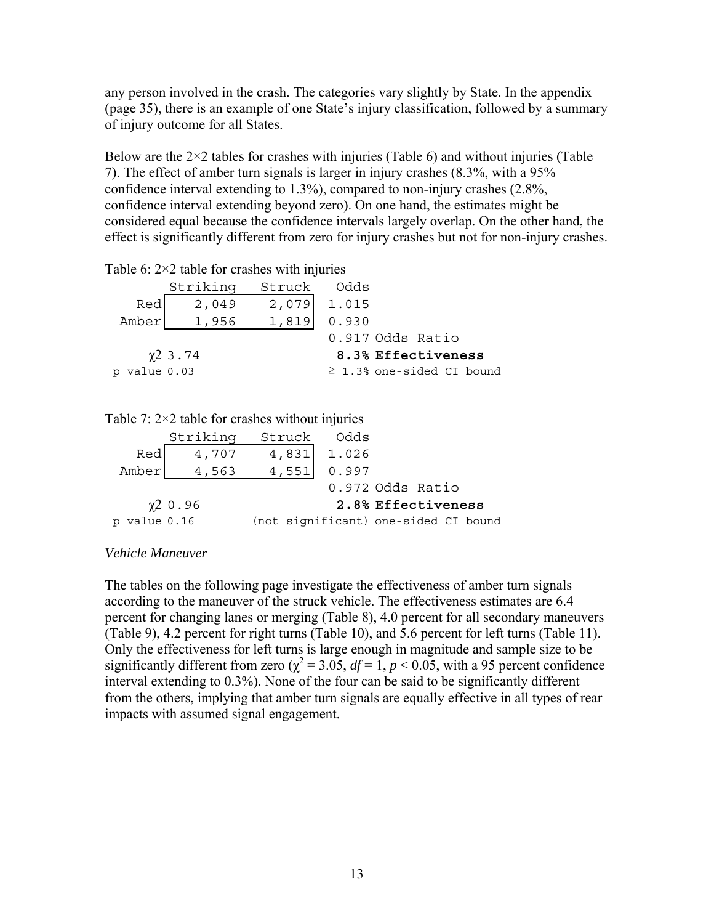<span id="page-19-0"></span>any person involved in the crash. The categories vary slightly by State. In the appendix (page [35\)](#page-41-2), there is an example of one State's injury classification, followed by a summary of injury outcome for all States.

Below are the  $2\times 2$  tables for crashes with injuries [\(Table 6](#page-19-1)) and without injuries (Table [7](#page-19-2)). The effect of amber turn signals is larger in injury crashes (8.3%, with a 95% confidence interval extending to 1.3%), compared to non-injury crashes (2.8%, confidence interval extending beyond zero). On one hand, the estimates might be considered equal because the confidence intervals largely overlap. On the other hand, the effect is significantly different from zero for injury crashes but not for non-injury crashes.

<span id="page-19-1"></span>Table 6:  $2 \times 2$  table for crashes with injuries

|              | Striking      | Struck Odds |                               |
|--------------|---------------|-------------|-------------------------------|
| Red          | 2,049         |             | 2,079 1.015                   |
| Amber        | 1,956         | 1,819       | 0.930                         |
|              |               |             | 0.917 Odds Ratio              |
|              | $\chi$ 2 3.74 |             | 8.3% Effectiveness            |
| p value 0.03 |               |             | $\geq 1.3$ cne-sided CI bound |

<span id="page-19-2"></span>Table  $7: 2 \times 2$  table for crashes without injuries

|              | Striking                 | Struck Odds                          |             |                    |  |
|--------------|--------------------------|--------------------------------------|-------------|--------------------|--|
| Red          | 4,707                    |                                      | 4,831 1.026 |                    |  |
| Amber        | 4,563                    | 4,551                                | 0.997       |                    |  |
|              |                          |                                      |             | 0.972 Odds Ratio   |  |
|              | $\chi$ <sup>2</sup> 0.96 |                                      |             | 2.8% Effectiveness |  |
| p value 0.16 |                          | (not significant) one-sided CI bound |             |                    |  |

#### *Vehicle Maneuver*

The tables on the following page investigate the effectiveness of amber turn signals according to the maneuver of the struck vehicle. The effectiveness estimates are 6.4 percent for changing lanes or merging [\(Table 8](#page-20-1)), 4.0 percent for all secondary maneuvers ([Table 9](#page-20-3)), 4.2 percent for right turns [\(Table 10\)](#page-20-4), and 5.6 percent for left turns [\(Table 11](#page-20-2)). Only the effectiveness for left turns is large enough in magnitude and sample size to be significantly different from zero ( $\chi^2$  = 3.05, *df* = 1, *p* < 0.05, with a 95 percent confidence interval extending to 0.3%). None of the four can be said to be significantly different from the others, implying that amber turn signals are equally effective in all types of rear impacts with assumed signal engagement.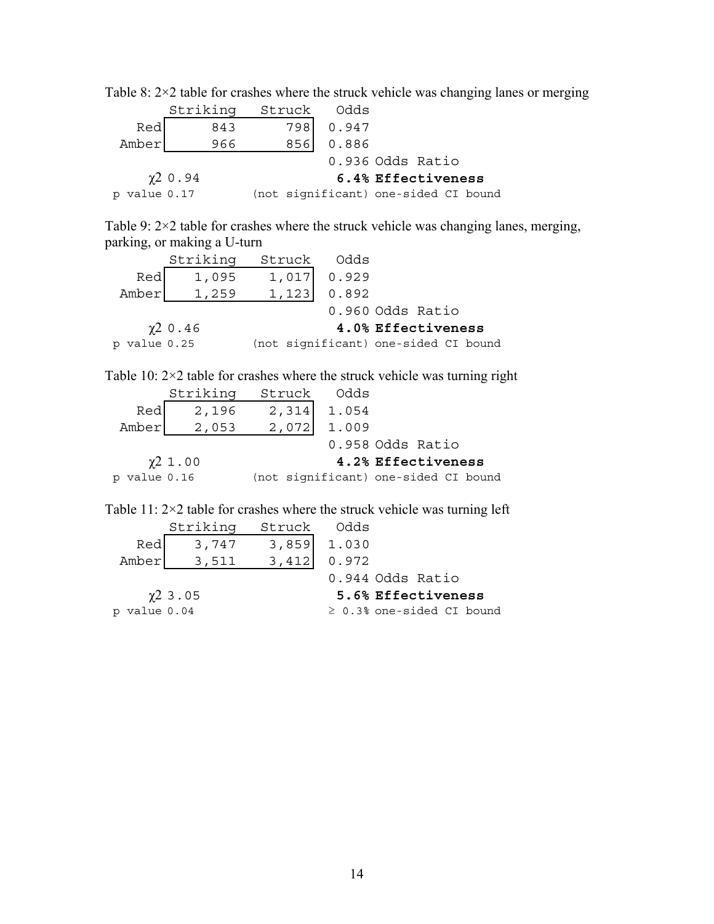|              | Striking                 | Struck | Odds                                 |                    |  |
|--------------|--------------------------|--------|--------------------------------------|--------------------|--|
| Red          | 843                      | 7981   | 0.947                                |                    |  |
| Amber        | 966                      | 8561   | 0.886                                |                    |  |
|              |                          |        |                                      | 0.936 Odds Ratio   |  |
|              | $\chi$ <sup>2</sup> 0.94 |        |                                      | 6.4% Effectiveness |  |
| p value 0.17 |                          |        | (not significant) one-sided CI bound |                    |  |

<span id="page-20-1"></span><span id="page-20-0"></span>Table 8: 2×2 table for crashes where the struck vehicle was changing lanes or merging

<span id="page-20-3"></span>Table 9: 2×2 table for crashes where the struck vehicle was changing lanes, merging, parking, or making a U-turn

|              | Striking                 |                                      | Struck Odds |                    |  |
|--------------|--------------------------|--------------------------------------|-------------|--------------------|--|
| Red          | 1,095                    | 1,017                                | 0.929       |                    |  |
| Amber        | 1,259                    | 1,123                                | 0.892       |                    |  |
|              |                          |                                      |             | 0.960 Odds Ratio   |  |
|              | $\chi$ <sup>2</sup> 0.46 |                                      |             | 4.0% Effectiveness |  |
| p value 0.25 |                          | (not significant) one-sided CI bound |             |                    |  |

<span id="page-20-4"></span>Table 10:  $2 \times 2$  table for crashes where the struck vehicle was turning right

| Striking<br>Struck<br>Odds                           |  |
|------------------------------------------------------|--|
| Red<br>2,314<br>1.054<br>2,196                       |  |
| 2,072<br>Amber<br>1.009<br>2,053                     |  |
| 0.958 Odds Ratio                                     |  |
| $\chi$ 2 1.00<br>4.2% Effectiveness                  |  |
| (not significant) one-sided CI bound<br>p value 0.16 |  |

<span id="page-20-2"></span>Table 11: 2×2 table for crashes where the struck vehicle was turning left

|                | Striking                 | Struck Odds                                      |                                |
|----------------|--------------------------|--------------------------------------------------|--------------------------------|
| Red            | 3,747                    |                                                  | 1.030                          |
| Amber          | 3,511                    | $\begin{bmatrix} 3, 859 \\ 3, 412 \end{bmatrix}$ | 0.972                          |
|                |                          |                                                  | 0.944 Odds Ratio               |
|                | $\chi$ <sup>2</sup> 3.05 |                                                  | 5.6% Effectiveness             |
| $p$ value 0.04 |                          |                                                  | $\geq$ 0.3% one-sided CI bound |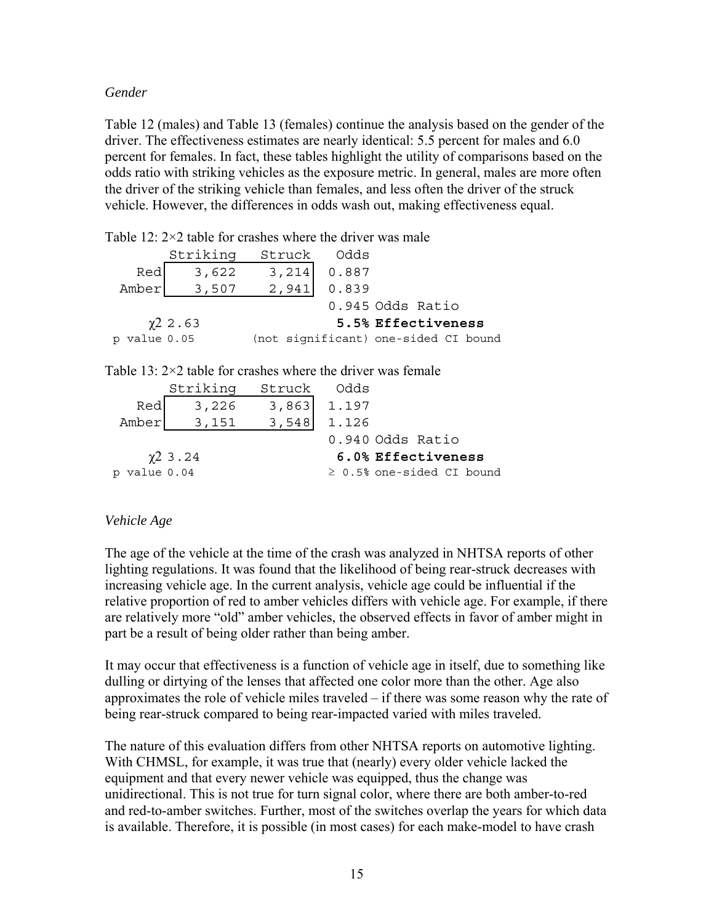#### <span id="page-21-0"></span>*Gender*

[Table 12](#page-21-1) (males) and [Table 13](#page-21-2) (females) continue the analysis based on the gender of the driver. The effectiveness estimates are nearly identical: 5.5 percent for males and 6.0 percent for females. In fact, these tables highlight the utility of comparisons based on the odds ratio with striking vehicles as the exposure metric. In general, males are more often the driver of the striking vehicle than females, and less often the driver of the struck vehicle. However, the differences in odds wash out, making effectiveness equal.

<span id="page-21-1"></span>Table 12:  $2 \times 2$  table for crashes where the driver was male

|              | Striking                                                             | Struck | Odds  |                                      |  |  |  |  |
|--------------|----------------------------------------------------------------------|--------|-------|--------------------------------------|--|--|--|--|
| Red          | 3,622                                                                | 3,214  | 0.887 |                                      |  |  |  |  |
| Amber        | 3,507                                                                | 2,941  | 0.839 |                                      |  |  |  |  |
|              |                                                                      |        |       | 0.945 Odds Ratio                     |  |  |  |  |
|              | $\chi$ 2.63                                                          |        |       | 5.5% Effectiveness                   |  |  |  |  |
| p value 0.05 |                                                                      |        |       | (not significant) one-sided CI bound |  |  |  |  |
|              |                                                                      |        |       |                                      |  |  |  |  |
|              | Table 13: $2 \times 2$ table for crashes where the driver was female |        |       |                                      |  |  |  |  |
|              | القادرة المستحدث والمستحدث والمستحدث                                 |        |       |                                      |  |  |  |  |

<span id="page-21-2"></span>

|              | Striking                 | Struck Odds |                                |
|--------------|--------------------------|-------------|--------------------------------|
| Red          | 3,226                    | 3,863       | 1.197                          |
| Amber        | 3,151                    | 3,548       | 1.126                          |
|              |                          |             | 0.940 Odds Ratio               |
|              | $\chi$ <sup>2</sup> 3.24 |             | 6.0% Effectiveness             |
| p value 0.04 |                          |             | $\geq$ 0.5% one-sided CI bound |

# *Vehicle Age*

The age of the vehicle at the time of the crash was analyzed in NHTSA reports of other lighting regulations. It was found that the likelihood of being rear-struck decreases with increasing vehicle age. In the current analysis, vehicle age could be influential if the relative proportion of red to amber vehicles differs with vehicle age. For example, if there are relatively more "old" amber vehicles, the observed effects in favor of amber might in part be a result of being older rather than being amber.

It may occur that effectiveness is a function of vehicle age in itself, due to something like dulling or dirtying of the lenses that affected one color more than the other. Age also approximates the role of vehicle miles traveled – if there was some reason why the rate of being rear-struck compared to being rear-impacted varied with miles traveled.

The nature of this evaluation differs from other NHTSA reports on automotive lighting. With CHMSL, for example, it was true that (nearly) every older vehicle lacked the equipment and that every newer vehicle was equipped, thus the change was unidirectional. This is not true for turn signal color, where there are both amber-to-red and red-to-amber switches. Further, most of the switches overlap the years for which data is available. Therefore, it is possible (in most cases) for each make-model to have crash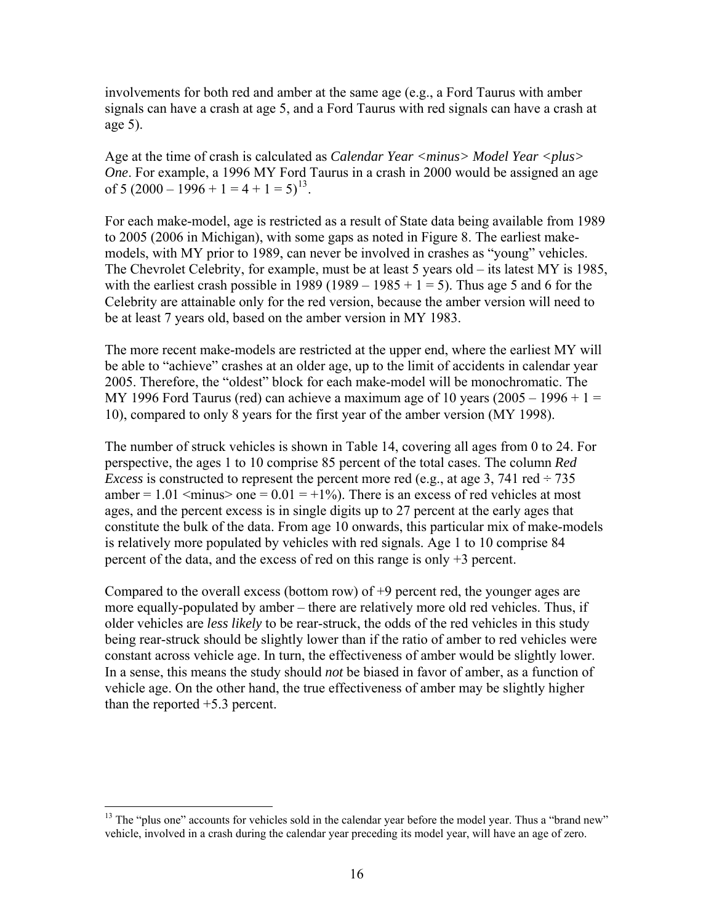involvements for both red and amber at the same age (e.g., a Ford Taurus with amber signals can have a crash at age 5, and a Ford Taurus with red signals can have a crash at age 5).

Age at the time of crash is calculated as *Calendar Year <minus> Model Year <plus> One*. For example, a 1996 MY Ford Taurus in a crash in 2000 would be assigned an age of 5 (2000 – 1996 + 1 = 4 + 1 = 5)<sup>[13](#page-22-0)</sup>.

For each make-model, age is restricted as a result of State data being available from 1989 to 2005 (2006 in Michigan), with some gaps as noted in [Figure 8.](#page-30-1) The earliest makemodels, with MY prior to 1989, can never be involved in crashes as "young" vehicles. The Chevrolet Celebrity, for example, must be at least 5 years old – its latest MY is 1985, with the earliest crash possible in 1989 (1989 – 1985 + 1 = 5). Thus age 5 and 6 for the Celebrity are attainable only for the red version, because the amber version will need to be at least 7 years old, based on the amber version in MY 1983.

The more recent make-models are restricted at the upper end, where the earliest MY will be able to "achieve" crashes at an older age, up to the limit of accidents in calendar year 2005. Therefore, the "oldest" block for each make-model will be monochromatic. The MY 1996 Ford Taurus (red) can achieve a maximum age of 10 years  $(2005 - 1996 + 1 =$ 10), compared to only 8 years for the first year of the amber version (MY 1998).

The number of struck vehicles is shown in [Table 14,](#page-23-1) covering all ages from 0 to 24. For perspective, the ages 1 to 10 comprise 85 percent of the total cases. The column *Red Excess* is constructed to represent the percent more red (e.g., at age 3, 741 red  $\div$  735 amber =  $1.01 \leq \text{minus} > \text{one} = 0.01 = +1\%$ ). There is an excess of red vehicles at most ages, and the percent excess is in single digits up to 27 percent at the early ages that constitute the bulk of the data. From age 10 onwards, this particular mix of make-models is relatively more populated by vehicles with red signals. Age 1 to 10 comprise 84 percent of the data, and the excess of red on this range is only +3 percent.

Compared to the overall excess (bottom row) of  $+9$  percent red, the younger ages are more equally-populated by amber – there are relatively more old red vehicles. Thus, if older vehicles are *less likely* to be rear-struck, the odds of the red vehicles in this study being rear-struck should be slightly lower than if the ratio of amber to red vehicles were constant across vehicle age. In turn, the effectiveness of amber would be slightly lower. In a sense, this means the study should *not* be biased in favor of amber, as a function of vehicle age. On the other hand, the true effectiveness of amber may be slightly higher than the reported +5.3 percent.

<span id="page-22-0"></span><sup>&</sup>lt;sup>13</sup> The "plus one" accounts for vehicles sold in the calendar year before the model year. Thus a "brand new" vehicle, involved in a crash during the calendar year preceding its model year, will have an age of zero.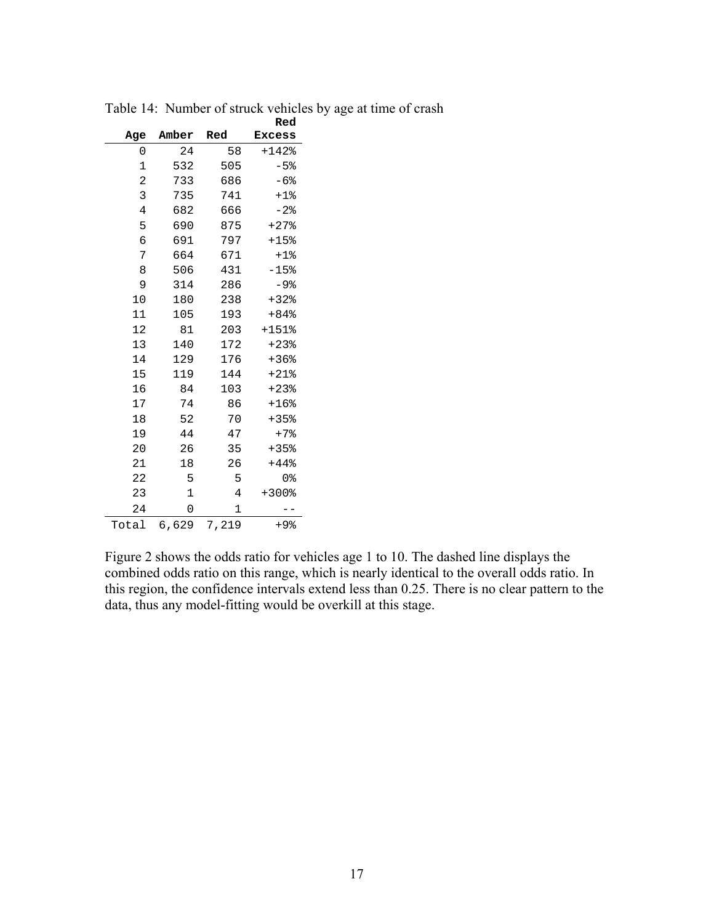<span id="page-23-1"></span>

|                |       |       | Red           |
|----------------|-------|-------|---------------|
| Age            | Amber | Red   | <b>Excess</b> |
| 0              | 24    | 58    | $+142$ %      |
| 1              | 532   | 505   | $-5$ $%$      |
| $\overline{c}$ | 733   | 686   | $-6%$         |
| 3              | 735   | 741   | $+1$ %        |
| 4              | 682   | 666   | $-2$ $8$      |
| 5              | 690   | 875   | $+27$ $*$     |
| 6              | 691   | 797   | $+15$ %       |
| 7              | 664   | 671   | $+1$ %        |
| 8              | 506   | 431   | $-15$ %       |
| 9              | 314   | 286   | $-9$ $8$      |
| 10             | 180   | 238   | $+32$         |
| 11             | 105   | 193   | $+84%$        |
| 12             | 81    | 203   | $+151$ %      |
| 13             | 140   | 172   | $+23$         |
| 14             | 129   | 176   | $+36$ %       |
| 15             | 119   | 144   | $+21$ $*$     |
| 16             | 84    | 103   | $+23$ $*$     |
| 17             | 74    | 86    | $+16$ %       |
| 18             | 52    | 70    | $+35%$        |
| 19             | 44    | 47    | $+7$ $*$      |
| 20             | 26    | 35    | $+35%$        |
| 21             | 18    | 26    | +44%          |
| 22             | 5     | 5     | 0%            |
| 23             | 1     | 4     | $+300$ %      |
| 24             | 0     | 1     |               |
| Total          | 6,629 | 7,219 | +9%           |

<span id="page-23-0"></span>Table 14: Number of struck vehicles by age at time of crash

[Figure 2](#page-24-1) shows the odds ratio for vehicles age 1 to 10. The dashed line displays the combined odds ratio on this range, which is nearly identical to the overall odds ratio. In this region, the confidence intervals extend less than 0.25. There is no clear pattern to the data, thus any model-fitting would be overkill at this stage.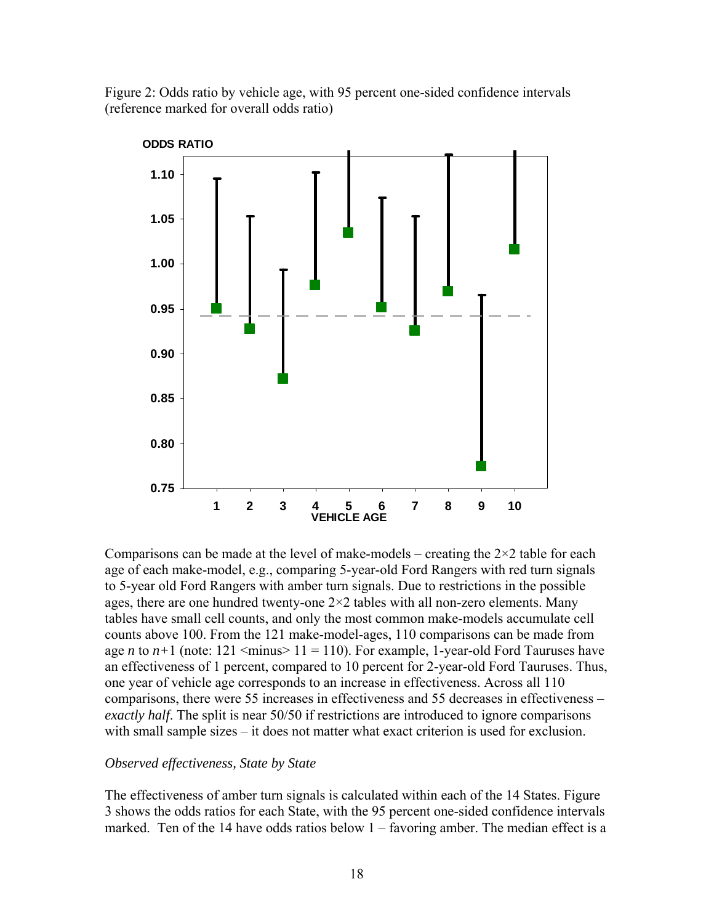<span id="page-24-1"></span><span id="page-24-0"></span>Figure 2: Odds ratio by vehicle age, with 95 percent one-sided confidence intervals (reference marked for overall odds ratio)



Comparisons can be made at the level of make-models – creating the  $2\times 2$  table for each age of each make-model, e.g., comparing 5-year-old Ford Rangers with red turn signals to 5-year old Ford Rangers with amber turn signals. Due to restrictions in the possible ages, there are one hundred twenty-one  $2 \times 2$  tables with all non-zero elements. Many tables have small cell counts, and only the most common make-models accumulate cell counts above 100. From the 121 make-model-ages, 110 comparisons can be made from age *n* to  $n+1$  (note: 121  $\leq$ minus $> 11 = 110$ ). For example, 1-year-old Ford Tauruses have an effectiveness of 1 percent, compared to 10 percent for 2-year-old Ford Tauruses. Thus, one year of vehicle age corresponds to an increase in effectiveness. Across all 110 comparisons, there were 55 increases in effectiveness and 55 decreases in effectiveness – *exactly half*. The split is near 50/50 if restrictions are introduced to ignore comparisons with small sample sizes – it does not matter what exact criterion is used for exclusion.

#### *Observed effectiveness, State by State*

The effectiveness of amber turn signals is calculated within each of the 14 States. [Figure](#page-25-1)  [3](#page-25-1) shows the odds ratios for each State, with the 95 percent one-sided confidence intervals marked. Ten of the 14 have odds ratios below 1 – favoring amber. The median effect is a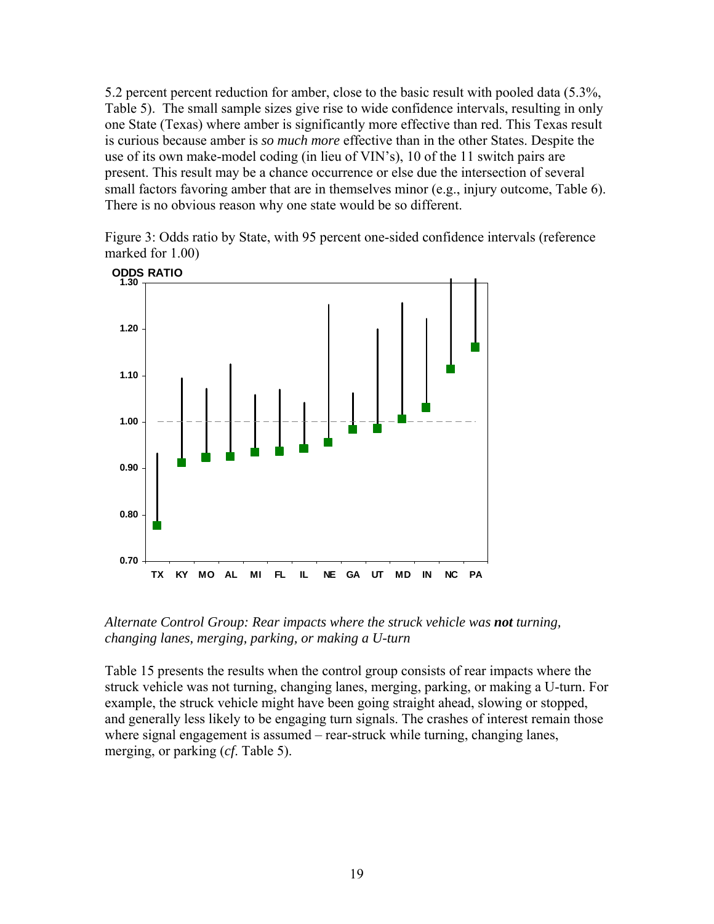<span id="page-25-0"></span>5.2 percent percent reduction for amber, close to the basic result with pooled data (5.3%, [Table 5](#page-18-1)). The small sample sizes give rise to wide confidence intervals, resulting in only one State (Texas) where amber is significantly more effective than red. This Texas result is curious because amber is *so much more* effective than in the other States. Despite the use of its own make-model coding (in lieu of VIN's), 10 of the 11 switch pairs are present. This result may be a chance occurrence or else due the intersection of several small factors favoring amber that are in themselves minor (e.g., injury outcome, [Table 6\)](#page-19-1). There is no obvious reason why one state would be so different.

<span id="page-25-1"></span>Figure 3: Odds ratio by State, with 95 percent one-sided confidence intervals (reference marked for 1.00)



*Alternate Control Group: Rear impacts where the struck vehicle was not turning, changing lanes, merging, parking, or making a U-turn* 

[Table 15](#page-26-1) presents the results when the control group consists of rear impacts where the struck vehicle was not turning, changing lanes, merging, parking, or making a U-turn. For example, the struck vehicle might have been going straight ahead, slowing or stopped, and generally less likely to be engaging turn signals. The crashes of interest remain those where signal engagement is assumed – rear-struck while turning, changing lanes, merging, or parking (*cf*. [Table 5\)](#page-18-1).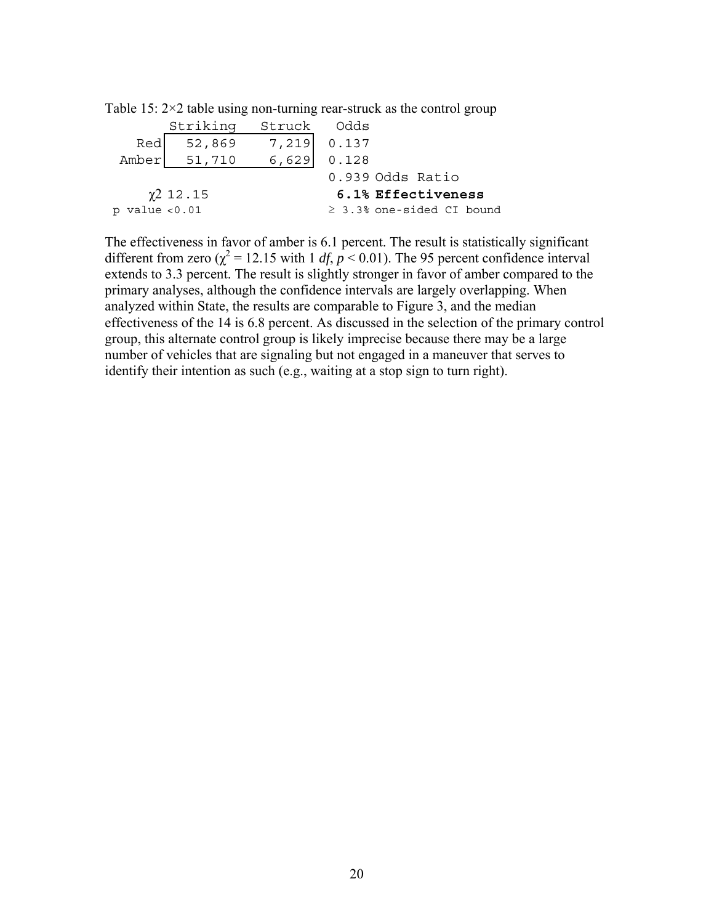|                    | Striking       | Struck Odds |                                |
|--------------------|----------------|-------------|--------------------------------|
| Red                | 52,869         | 7,219 0.137 |                                |
|                    | Amber 51,710   | 6,629       | 0.128                          |
|                    |                |             | 0.939 Odds Ratio               |
|                    | $\chi$ 2 12.15 |             | 6.1% Effectiveness             |
| $p$ value $< 0.01$ |                |             | $\geq$ 3.3% one-sided CI bound |

<span id="page-26-1"></span><span id="page-26-0"></span>Table 15:  $2 \times 2$  table using non-turning rear-struck as the control group

The effectiveness in favor of amber is 6.1 percent. The result is statistically significant different from zero ( $\chi^2$  = 12.15 with 1 *df*, *p* < 0.01). The 95 percent confidence interval extends to 3.3 percent. The result is slightly stronger in favor of amber compared to the primary analyses, although the confidence intervals are largely overlapping. When analyzed within State, the results are comparable to [Figure 3,](#page-25-1) and the median effectiveness of the 14 is 6.8 percent. As discussed in the selection of the primary control group, this alternate control group is likely imprecise because there may be a large number of vehicles that are signaling but not engaged in a maneuver that serves to identify their intention as such (e.g., waiting at a stop sign to turn right).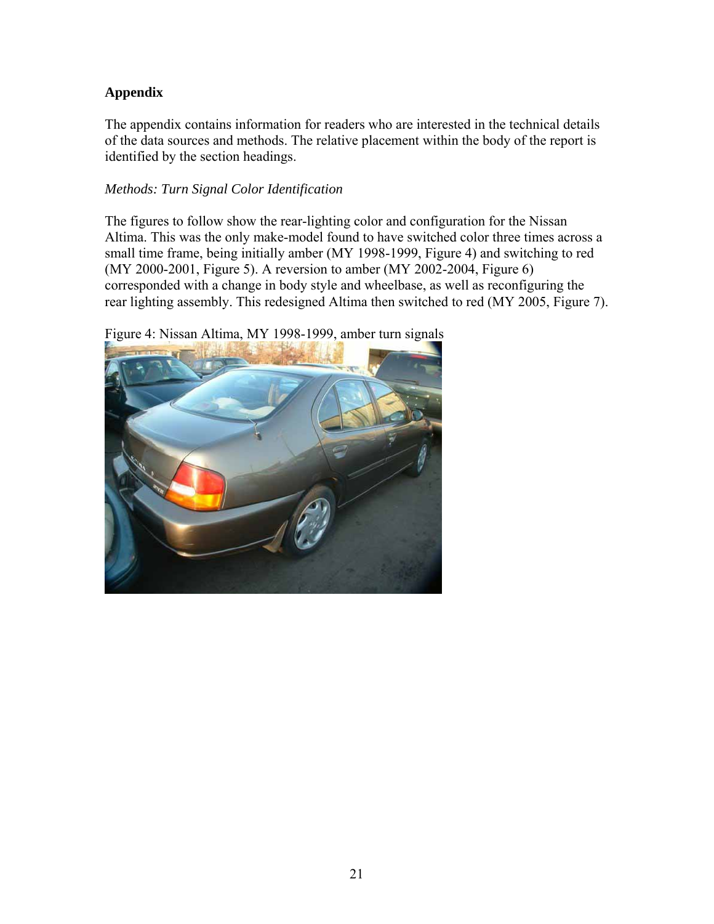# <span id="page-27-0"></span>**Appendix**

The appendix contains information for readers who are interested in the technical details of the data sources and methods. The relative placement within the body of the report is identified by the section headings.

## *Methods: [Turn Signal Color Identification](#page-11-0)*

The figures to follow show the rear-lighting color and configuration for the Nissan Altima. This was the only make-model found to have switched color three times across a small time frame, being initially amber (MY 1998-1999, [Figure 4\)](#page-27-1) and switching to red (MY 2000-2001, [Figure 5\)](#page-28-1). A reversion to amber (MY 2002-2004, [Figure 6\)](#page-28-2) corresponded with a change in body style and wheelbase, as well as reconfiguring the rear lighting assembly. This redesigned Altima then switched to red (MY 2005, [Figure 7\)](#page-29-1).

<span id="page-27-1"></span>

Figure 4: Nissan Altima, MY 1998-1999, amber turn signals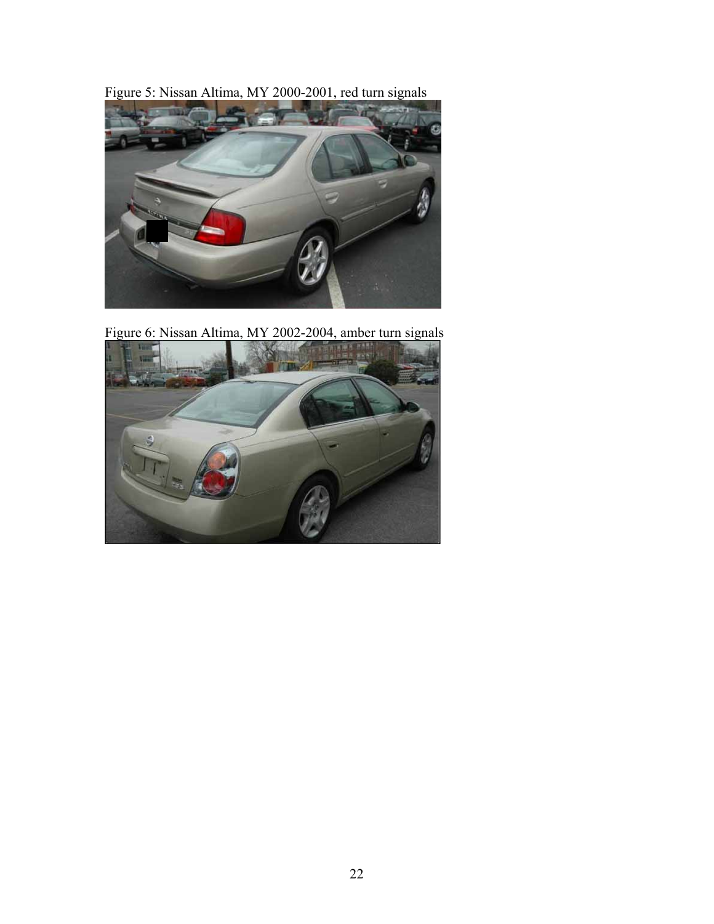<span id="page-28-1"></span><span id="page-28-0"></span>Figure 5: Nissan Altima, MY 2000-2001, red turn signals



Figure 6: Nissan Altima, MY 2002-2004, amber turn signals

<span id="page-28-2"></span>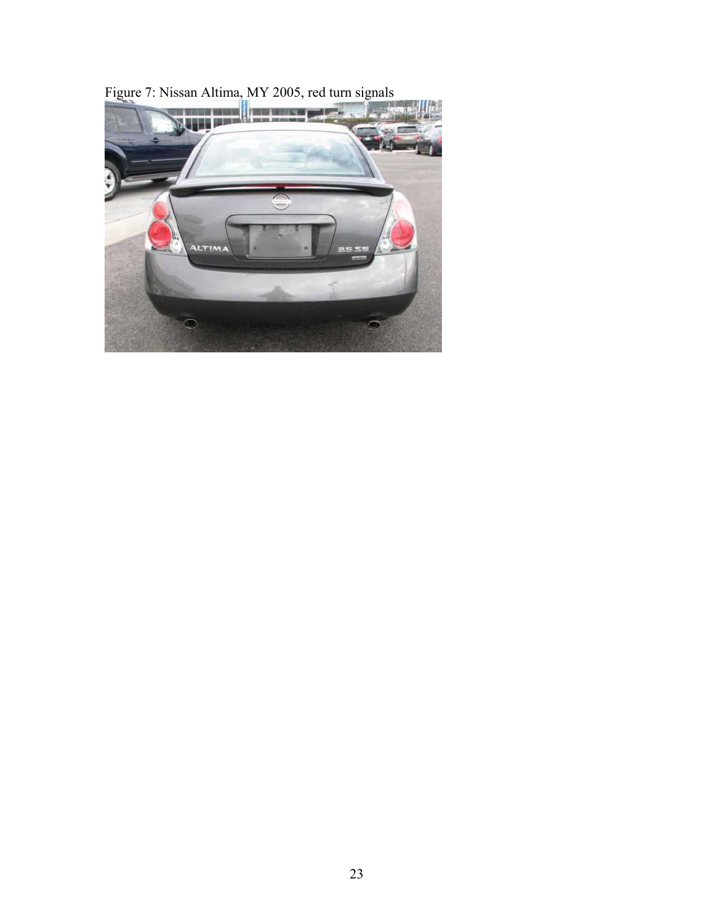<span id="page-29-1"></span><span id="page-29-0"></span>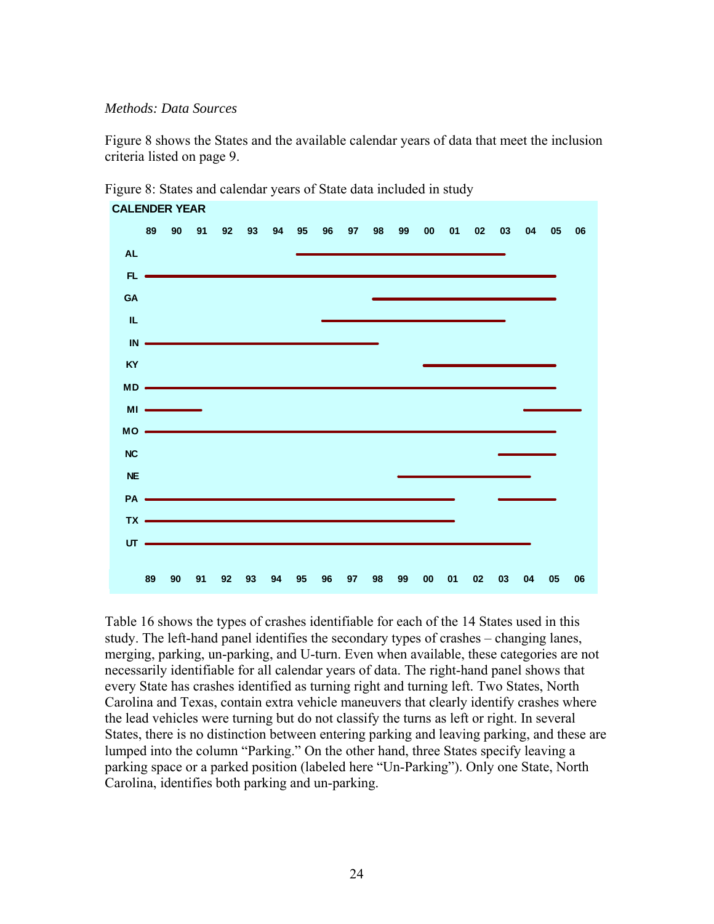#### <span id="page-30-0"></span>*Methods: Data Sources*

[Figure 8](#page-30-1) shows the States and the available calendar years of data that meet the inclusion criteria listed on page [9.](#page-15-3)

<span id="page-30-1"></span>

Figure 8: States and calendar years of State data included in study

[Table 16](#page-31-1) shows the types of crashes identifiable for each of the 14 States used in this study. The left-hand panel identifies the secondary types of crashes – changing lanes, merging, parking, un-parking, and U-turn. Even when available, these categories are not necessarily identifiable for all calendar years of data. The right-hand panel shows that every State has crashes identified as turning right and turning left. Two States, North Carolina and Texas, contain extra vehicle maneuvers that clearly identify crashes where the lead vehicles were turning but do not classify the turns as left or right. In several States, there is no distinction between entering parking and leaving parking, and these are lumped into the column "Parking." On the other hand, three States specify leaving a parking space or a parked position (labeled here "Un-Parking"). Only one State, North Carolina, identifies both parking and un-parking.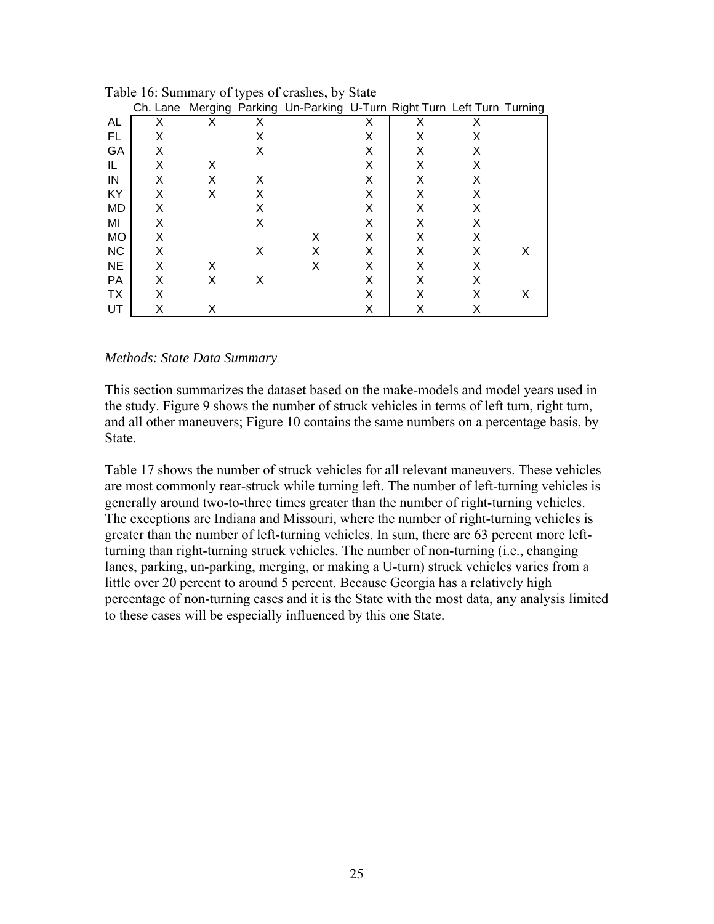|           | Ch. Lane |   |   | Merging Parking Un-Parking U-Turn Right Turn Left Turn Turning |   |   |   |   |
|-----------|----------|---|---|----------------------------------------------------------------|---|---|---|---|
| AL        | x        | X | Х |                                                                | X | х | X |   |
| FL        | X        |   | X |                                                                | Χ | X | X |   |
| GA        | X        |   | X |                                                                | X | X | X |   |
| IL        | X        | X |   |                                                                | X | X | X |   |
| IN        | X        | X | X |                                                                | X | X | X |   |
| KY        | X        | X | X |                                                                | X | X | X |   |
| MD        | X        |   | X |                                                                | X | X | X |   |
| MI        | X        |   | Χ |                                                                | Χ | X | X |   |
| <b>MO</b> | X        |   |   | X                                                              | X | Χ | X |   |
| <b>NC</b> | X        |   | Х | X                                                              | X | х | X | х |
| <b>NE</b> | X        | X |   | X                                                              | X | X | X |   |
| PA        | X        | X | X |                                                                | X | X | X |   |
| TX        | X        |   |   |                                                                | X | Χ | X | X |
| UT        |          | X |   |                                                                | Χ | х | х |   |

<span id="page-31-1"></span><span id="page-31-0"></span>Table 16: Summary of types of crashes, by State

#### *Methods: State Data Summary*

This section summarizes the dataset based on the make-models and model years used in the study. [Figure 9](#page-32-1) shows the number of struck vehicles in terms of left turn, right turn, and all other maneuvers; [Figure 10](#page-33-1) contains the same numbers on a percentage basis, by State.

[Table 17](#page-33-2) shows the number of struck vehicles for all relevant maneuvers. These vehicles are most commonly rear-struck while turning left. The number of left-turning vehicles is generally around two-to-three times greater than the number of right-turning vehicles. The exceptions are Indiana and Missouri, where the number of right-turning vehicles is greater than the number of left-turning vehicles. In sum, there are 63 percent more leftturning than right-turning struck vehicles. The number of non-turning (i.e., changing lanes, parking, un-parking, merging, or making a U-turn) struck vehicles varies from a little over 20 percent to around 5 percent. Because Georgia has a relatively high percentage of non-turning cases and it is the State with the most data, any analysis limited to these cases will be especially influenced by this one State.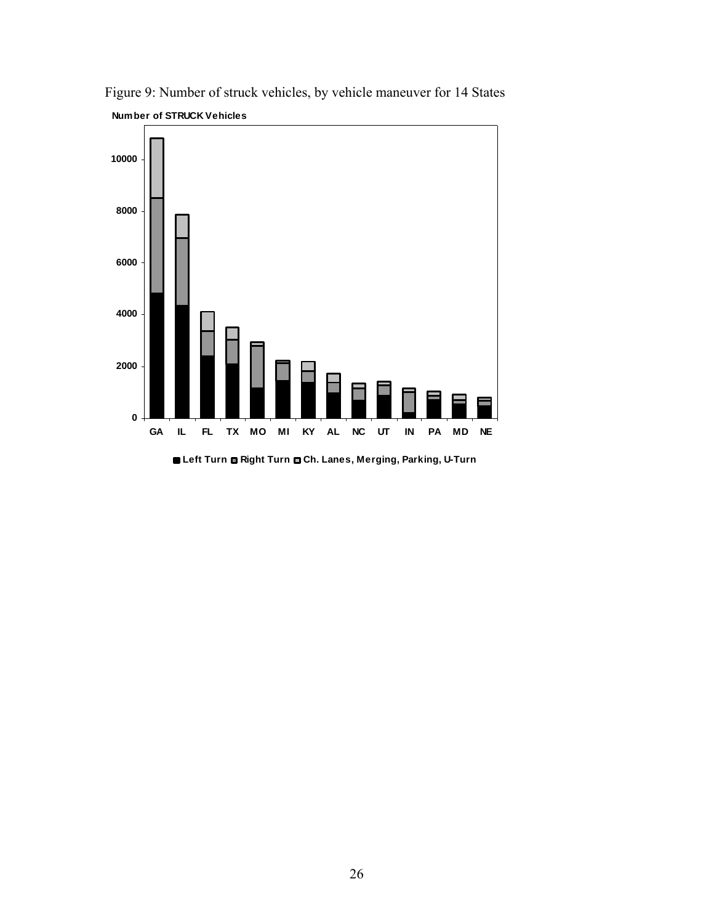

<span id="page-32-1"></span><span id="page-32-0"></span>Figure 9: Number of struck vehicles, by vehicle maneuver for 14 States **Number of STRUCK Vehicles**

**Left Turn Right Turn Ch. Lanes, Merging, Parking, U-Turn**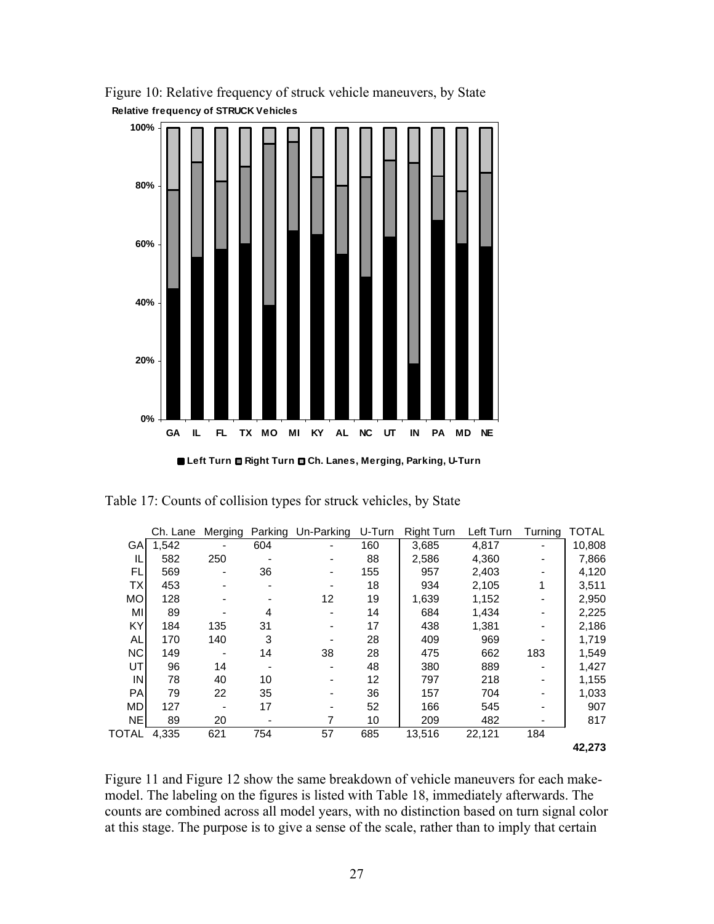

<span id="page-33-1"></span><span id="page-33-0"></span>Figure 10: Relative frequency of struck vehicle maneuvers, by State **Relative frequency of STRUCK Vehicles**

**Left Turn Right Turn Ch. Lanes, Merging, Parking, U-Turn**

|           | Ch. Lane | Merging |                          | Parking Un-Parking U-Turn |     | Right Turn | Left Turn | Turning | <b>TOTAL</b> |
|-----------|----------|---------|--------------------------|---------------------------|-----|------------|-----------|---------|--------------|
| GА        | 1,542    |         | 604                      |                           | 160 | 3,685      | 4,817     |         | 10,808       |
| IL        | 582      | 250     |                          |                           | 88  | 2,586      | 4,360     |         | 7,866        |
| FL        | 569      |         | 36                       |                           | 155 | 957        | 2,403     |         | 4,120        |
| ТX        | 453      |         | $\overline{\phantom{0}}$ |                           | 18  | 934        | 2,105     |         | 3,511        |
| МO        | 128      |         |                          | 12                        | 19  | 1,639      | 1,152     |         | 2,950        |
| MI        | 89       |         | 4                        |                           | 14  | 684        | 1,434     |         | 2,225        |
| KY        | 184      | 135     | 31                       |                           | 17  | 438        | 1,381     |         | 2,186        |
| AL        | 170      | 140     | 3                        |                           | 28  | 409        | 969       |         | 1,719        |
| <b>NC</b> | 149      |         | 14                       | 38                        | 28  | 475        | 662       | 183     | 1,549        |
| UT        | 96       | 14      |                          |                           | 48  | 380        | 889       |         | 1,427        |
| IN        | 78       | 40      | 10                       |                           | 12  | 797        | 218       |         | 1,155        |
| <b>PA</b> | 79       | 22      | 35                       |                           | 36  | 157        | 704       |         | 1,033        |
| <b>MD</b> | 127      |         | 17                       |                           | 52  | 166        | 545       |         | 907          |
| <b>NE</b> | 89       | 20      |                          |                           | 10  | 209        | 482       |         | 817          |
| TOTAL     | 4,335    | 621     | 754                      | 57                        | 685 | 13,516     | 22,121    | 184     |              |
|           |          |         |                          |                           |     |            |           |         | 42.273       |

<span id="page-33-2"></span>Table 17: Counts of collision types for struck vehicles, by State

[Figure 11](#page-34-1) and [Figure 12](#page-35-1) show the same breakdown of vehicle maneuvers for each makemodel. The labeling on the figures is listed with [Table 18,](#page-35-2) immediately afterwards. The counts are combined across all model years, with no distinction based on turn signal color at this stage. The purpose is to give a sense of the scale, rather than to imply that certain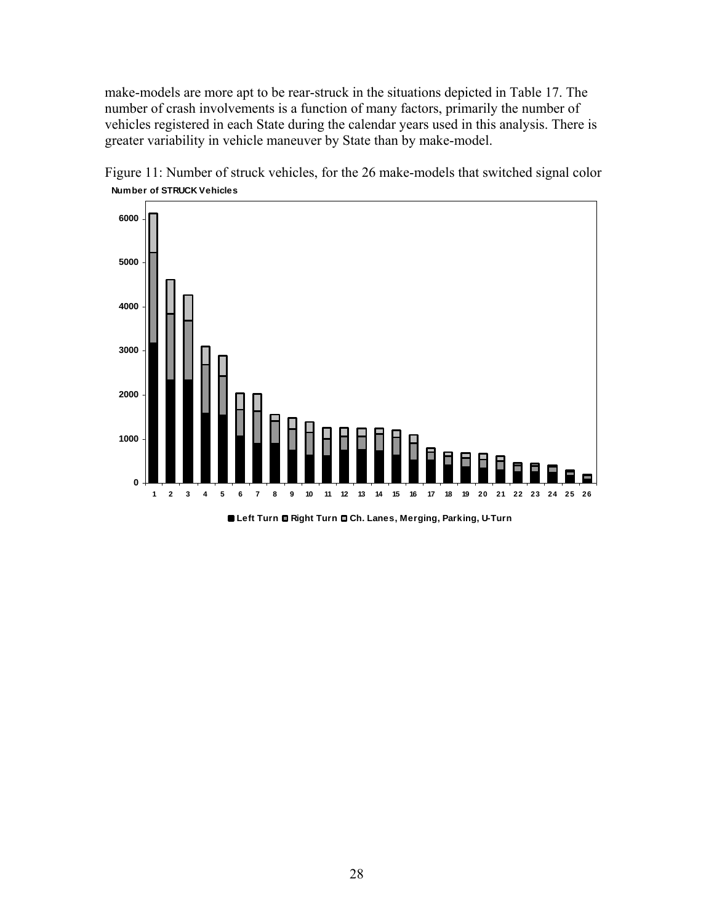<span id="page-34-0"></span>make-models are more apt to be rear-struck in the situations depicted in [Table 17.](#page-33-2) The number of crash involvements is a function of many factors, primarily the number of vehicles registered in each State during the calendar years used in this analysis. There is greater variability in vehicle maneuver by State than by make-model.



<span id="page-34-1"></span>Figure 11: Number of struck vehicles, for the 26 make-models that switched signal color **Number of STRUCK Vehicles**

**Left Turn Right Turn Ch. Lanes, Merging, Parking, U-Turn**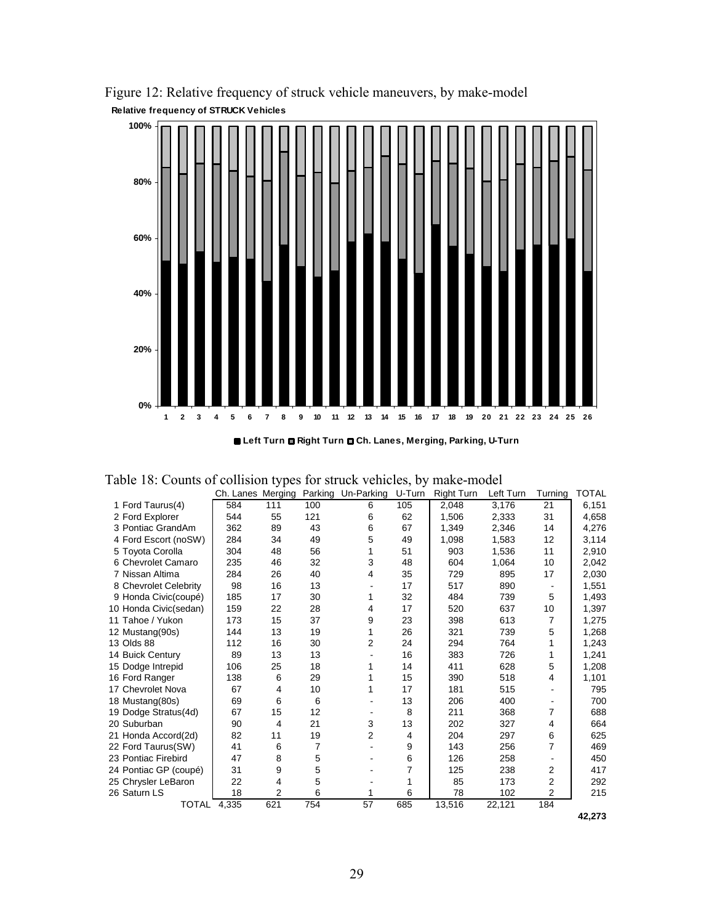

<span id="page-35-1"></span><span id="page-35-0"></span>Figure 12: Relative frequency of struck vehicle maneuvers, by make-model **Relative frequency of STRUCK Vehicles**

**Left Turn Right Turn Ch. Lanes, Merging, Parking, U-Turn**

<span id="page-35-2"></span>

|  |  |  | Table 18: Counts of collision types for struck vehicles, by make-model |
|--|--|--|------------------------------------------------------------------------|
|  |  |  |                                                                        |

|                       | Ch. Lanes Merging |     |     | Parking Un-Parking | U-Turn | Right Turn | Left Turn | Turnina | <b>TOTAL</b> |
|-----------------------|-------------------|-----|-----|--------------------|--------|------------|-----------|---------|--------------|
| 1 Ford Taurus(4)      | 584               | 111 | 100 | 6                  | 105    | 2.048      | 3,176     | 21      | 6,151        |
| 2 Ford Explorer       | 544               | 55  | 121 | 6                  | 62     | 1,506      | 2,333     | 31      | 4,658        |
| 3 Pontiac GrandAm     | 362               | 89  | 43  | 6                  | 67     | 1,349      | 2,346     | 14      | 4,276        |
| 4 Ford Escort (noSW)  | 284               | 34  | 49  | 5                  | 49     | 1,098      | 1,583     | 12      | 3,114        |
| 5 Toyota Corolla      | 304               | 48  | 56  | 1                  | 51     | 903        | 1,536     | 11      | 2,910        |
| 6 Chevrolet Camaro    | 235               | 46  | 32  | 3                  | 48     | 604        | 1,064     | 10      | 2,042        |
| 7 Nissan Altima       | 284               | 26  | 40  | 4                  | 35     | 729        | 895       | 17      | 2,030        |
| 8 Chevrolet Celebrity | 98                | 16  | 13  |                    | 17     | 517        | 890       |         | 1,551        |
| 9 Honda Civic(coupé)  | 185               | 17  | 30  | 1                  | 32     | 484        | 739       | 5       | 1,493        |
| 10 Honda Civic(sedan) | 159               | 22  | 28  | 4                  | 17     | 520        | 637       | 10      | 1,397        |
| 11 Tahoe / Yukon      | 173               | 15  | 37  | 9                  | 23     | 398        | 613       | 7       | 1,275        |
| 12 Mustang(90s)       | 144               | 13  | 19  | 1                  | 26     | 321        | 739       | 5       | 1,268        |
| 13 Olds 88            | 112               | 16  | 30  | 2                  | 24     | 294        | 764       |         | 1,243        |
| 14 Buick Century      | 89                | 13  | 13  |                    | 16     | 383        | 726       |         | 1,241        |
| 15 Dodge Intrepid     | 106               | 25  | 18  | 1                  | 14     | 411        | 628       | 5       | 1,208        |
| 16 Ford Ranger        | 138               | 6   | 29  | 1                  | 15     | 390        | 518       | 4       | 1,101        |
| 17 Chevrolet Nova     | 67                | 4   | 10  | 1                  | 17     | 181        | 515       |         | 795          |
| 18 Mustang(80s)       | 69                | 6   | 6   |                    | 13     | 206        | 400       |         | 700          |
| 19 Dodge Stratus(4d)  | 67                | 15  | 12  |                    | 8      | 211        | 368       | 7       | 688          |
| 20 Suburban           | 90                | 4   | 21  | 3                  | 13     | 202        | 327       | 4       | 664          |
| 21 Honda Accord(2d)   | 82                | 11  | 19  | 2                  | 4      | 204        | 297       | 6       | 625          |
| 22 Ford Taurus(SW)    | 41                | 6   | 7   |                    | 9      | 143        | 256       | 7       | 469          |
| 23 Pontiac Firebird   | 47                | 8   | 5   |                    | 6      | 126        | 258       |         | 450          |
| 24 Pontiac GP (coupé) | 31                | 9   | 5   |                    | 7      | 125        | 238       | 2       | 417          |
| 25 Chrysler LeBaron   | 22                | 4   | 5   |                    | 1      | 85         | 173       | 2       | 292          |
| 26 Saturn LS          | 18                | 2   | 6   |                    | 6      | 78         | 102       | 2       | 215          |
| TOTAL                 | 4.335             | 621 | 754 | 57                 | 685    | 13,516     | 22,121    | 184     |              |

**42,273**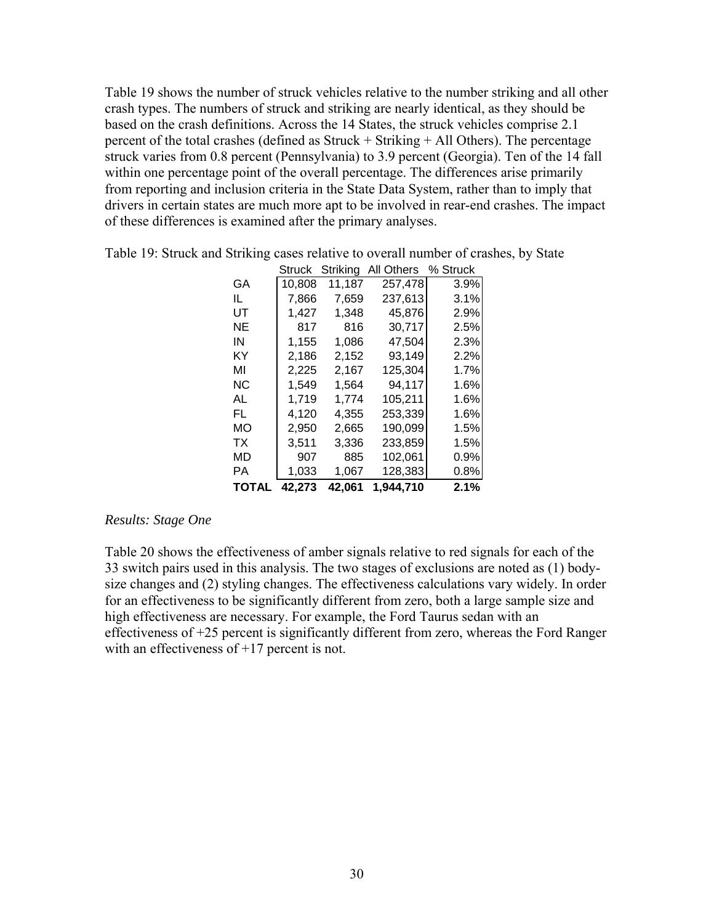<span id="page-36-0"></span>[Table 19](#page-36-1) shows the number of struck vehicles relative to the number striking and all other crash types. The numbers of struck and striking are nearly identical, as they should be based on the crash definitions. Across the 14 States, the struck vehicles comprise 2.1 percent of the total crashes (defined as Struck + Striking + All Others). The percentage struck varies from 0.8 percent (Pennsylvania) to 3.9 percent (Georgia). Ten of the 14 fall within one percentage point of the overall percentage. The differences arise primarily from reporting and inclusion criteria in the State Data System, rather than to imply that drivers in certain states are much more apt to be involved in rear-end crashes. The impact of these differences is examined after the primary analyses.

|       | Struck | Striking | All Others | % Struck |
|-------|--------|----------|------------|----------|
| GA    | 10,808 | 11,187   | 257,478    | 3.9%     |
| IL    | 7,866  | 7,659    | 237,613    | 3.1%     |
| UT    | 1,427  | 1,348    | 45,876     | 2.9%     |
| ΝE    | 817    | 816      | 30,717     | 2.5%     |
| ΙN    | 1,155  | 1,086    | 47,504     | 2.3%     |
| ΚY    | 2,186  | 2,152    | 93,149     | 2.2%     |
| MI    | 2,225  | 2,167    | 125,304    | 1.7%     |
| ΝC    | 1,549  | 1,564    | 94,117     | 1.6%     |
| AL    | 1,719  | 1.774    | 105,211    | 1.6%     |
| FL    | 4,120  | 4,355    | 253,339    | 1.6%     |
| MО    | 2,950  | 2,665    | 190,099    | 1.5%     |
| ТX    | 3,511  | 3,336    | 233,859    | 1.5%     |
| MD    | 907    | 885      | 102,061    | 0.9%     |
| РA    | 1,033  | 1,067    | 128,383    | 0.8%     |
| TOTAL | 42,273 | 42,061   | 1,944,710  | 2.1%     |

<span id="page-36-1"></span>Table 19: Struck and Striking cases relative to overall number of crashes, by State

#### *Results: Stage One*

[Table 20](#page-37-1) shows the effectiveness of amber signals relative to red signals for each of the 33 switch pairs used in this analysis. The two stages of exclusions are noted as (1) bodysize changes and (2) styling changes. The effectiveness calculations vary widely. In order for an effectiveness to be significantly different from zero, both a large sample size and high effectiveness are necessary. For example, the Ford Taurus sedan with an effectiveness of +25 percent is significantly different from zero, whereas the Ford Ranger with an effectiveness of  $+17$  percent is not.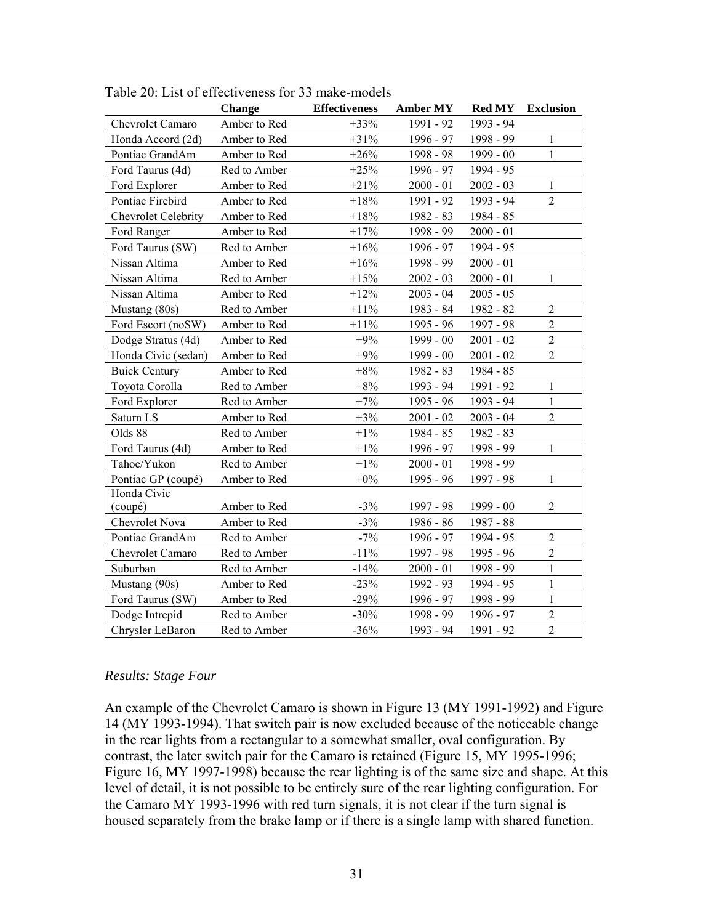|                      | Change       | <b>Effectiveness</b> | <b>Amber MY</b> | <b>Red MY</b> | <b>Exclusion</b> |
|----------------------|--------------|----------------------|-----------------|---------------|------------------|
| Chevrolet Camaro     | Amber to Red | $+33%$               | 1991 - 92       | 1993 - 94     |                  |
| Honda Accord (2d)    | Amber to Red | $+31%$               | 1996 - 97       | 1998 - 99     | $\mathbf{1}$     |
| Pontiac GrandAm      | Amber to Red | $+26%$               | 1998 - 98       | $1999 - 00$   | $\mathbf{1}$     |
| Ford Taurus (4d)     | Red to Amber | $+25%$               | 1996 - 97       | 1994 - 95     |                  |
| Ford Explorer        | Amber to Red | $+21%$               | $2000 - 01$     | $2002 - 03$   | $\mathbf{1}$     |
| Pontiac Firebird     | Amber to Red | $+18%$               | 1991 - 92       | 1993 - 94     | $\overline{2}$   |
| Chevrolet Celebrity  | Amber to Red | $+18\%$              | 1982 - 83       | 1984 - 85     |                  |
| Ford Ranger          | Amber to Red | $+17%$               | 1998 - 99       | $2000 - 01$   |                  |
| Ford Taurus (SW)     | Red to Amber | $+16%$               | $1996 - 97$     | 1994 - 95     |                  |
| Nissan Altima        | Amber to Red | $+16%$               | 1998 - 99       | $2000 - 01$   |                  |
| Nissan Altima        | Red to Amber | $+15%$               | $2002 - 03$     | $2000 - 01$   | $\mathbf{1}$     |
| Nissan Altima        | Amber to Red | $+12%$               | $2003 - 04$     | $2005 - 05$   |                  |
| Mustang (80s)        | Red to Amber | $+11\%$              | 1983 - 84       | 1982 - 82     | $\overline{2}$   |
| Ford Escort (noSW)   | Amber to Red | $+11\%$              | 1995 - 96       | 1997 - 98     | $\overline{c}$   |
| Dodge Stratus (4d)   | Amber to Red | $+9%$                | $1999 - 00$     | $2001 - 02$   | $\overline{c}$   |
| Honda Civic (sedan)  | Amber to Red | $+9%$                | $1999 - 00$     | $2001 - 02$   | $\overline{2}$   |
| <b>Buick Century</b> | Amber to Red | $+8%$                | 1982 - 83       | 1984 - 85     |                  |
| Toyota Corolla       | Red to Amber | $+8%$                | 1993 - 94       | 1991 - 92     | $\mathbf{1}$     |
| Ford Explorer        | Red to Amber | $+7%$                | 1995 - 96       | 1993 - 94     | $\mathbf{1}$     |
| Saturn LS            | Amber to Red | $+3%$                | $2001 - 02$     | $2003 - 04$   | $\overline{2}$   |
| Olds 88              | Red to Amber | $+1\%$               | 1984 - 85       | 1982 - 83     |                  |
| Ford Taurus (4d)     | Amber to Red | $+1\%$               | 1996 - 97       | 1998 - 99     | $\mathbf{1}$     |
| Tahoe/Yukon          | Red to Amber | $+1\%$               | $2000 - 01$     | 1998 - 99     |                  |
| Pontiac GP (coupé)   | Amber to Red | $+0\%$               | 1995 - 96       | 1997 - 98     | $\mathbf{1}$     |
| Honda Civic          |              |                      |                 |               |                  |
| (coupé)              | Amber to Red | $-3%$                | 1997 - 98       | $1999 - 00$   | $\mathfrak{2}$   |
| Chevrolet Nova       | Amber to Red | $-3%$                | 1986 - 86       | 1987 - 88     |                  |
| Pontiac GrandAm      | Red to Amber | $-7%$                | 1996 - 97       | 1994 - 95     | $\overline{2}$   |
| Chevrolet Camaro     | Red to Amber | $-11%$               | 1997 - 98       | 1995 - 96     | $\overline{2}$   |
| Suburban             | Red to Amber | $-14%$               | $2000 - 01$     | 1998 - 99     | $\,1$            |
| Mustang (90s)        | Amber to Red | $-23%$               | 1992 - 93       | 1994 - 95     | $\mathbf{1}$     |
| Ford Taurus (SW)     | Amber to Red | $-29%$               | 1996 - 97       | 1998 - 99     | $\mathbf{1}$     |
| Dodge Intrepid       | Red to Amber | $-30%$               | 1998 - 99       | 1996 - 97     | $\overline{c}$   |
| Chrysler LeBaron     | Red to Amber | $-36%$               | 1993 - 94       | 1991 - 92     | $\overline{2}$   |

<span id="page-37-1"></span><span id="page-37-0"></span>Table 20: List of effectiveness for 33 make-models

#### *Results: Stage Four*

An example of the Chevrolet Camaro is shown in [Figure 13](#page-38-1) (MY 1991-1992) and [Figure](#page-38-2)  [14](#page-38-2) (MY 1993-1994). That switch pair is now excluded because of the noticeable change in the rear lights from a rectangular to a somewhat smaller, oval configuration. By contrast, the later switch pair for the Camaro is retained [\(Figure 15,](#page-39-1) MY 1995-1996; [Figure 16](#page-39-2), MY 1997-1998) because the rear lighting is of the same size and shape. At this level of detail, it is not possible to be entirely sure of the rear lighting configuration. For the Camaro MY 1993-1996 with red turn signals, it is not clear if the turn signal is housed separately from the brake lamp or if there is a single lamp with shared function.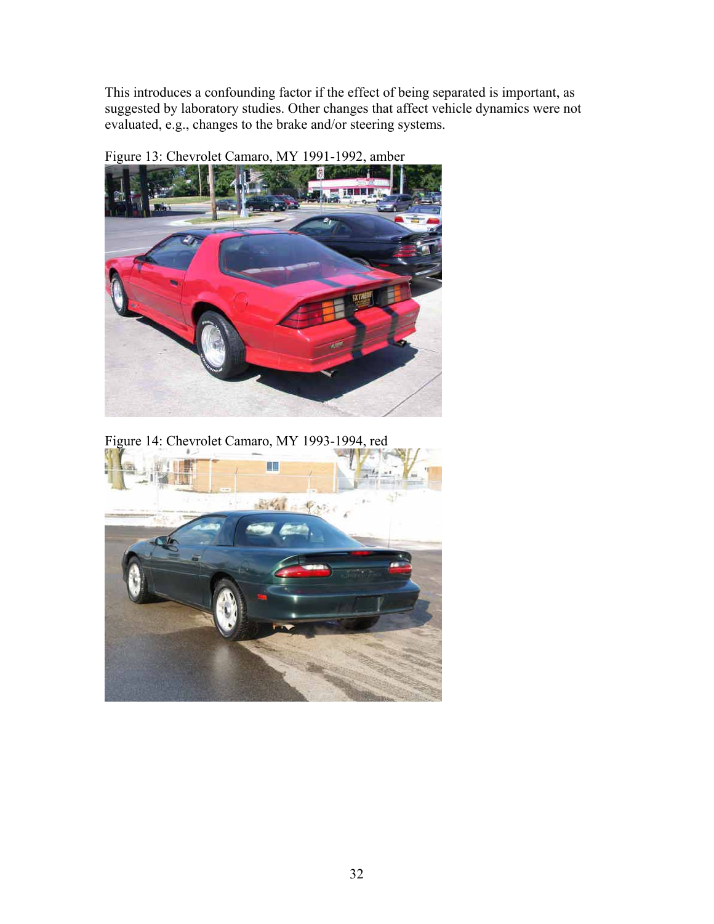<span id="page-38-0"></span>This introduces a confounding factor if the effect of being separated is important, as suggested by laboratory studies. Other changes that affect vehicle dynamics were not evaluated, e.g., changes to the brake and/or steering systems.

<span id="page-38-1"></span>

Figure 13: Chevrolet Camaro, MY 1991-1992, amber

<span id="page-38-2"></span>Figure 14: Chevrolet Camaro, MY 1993-1994, red

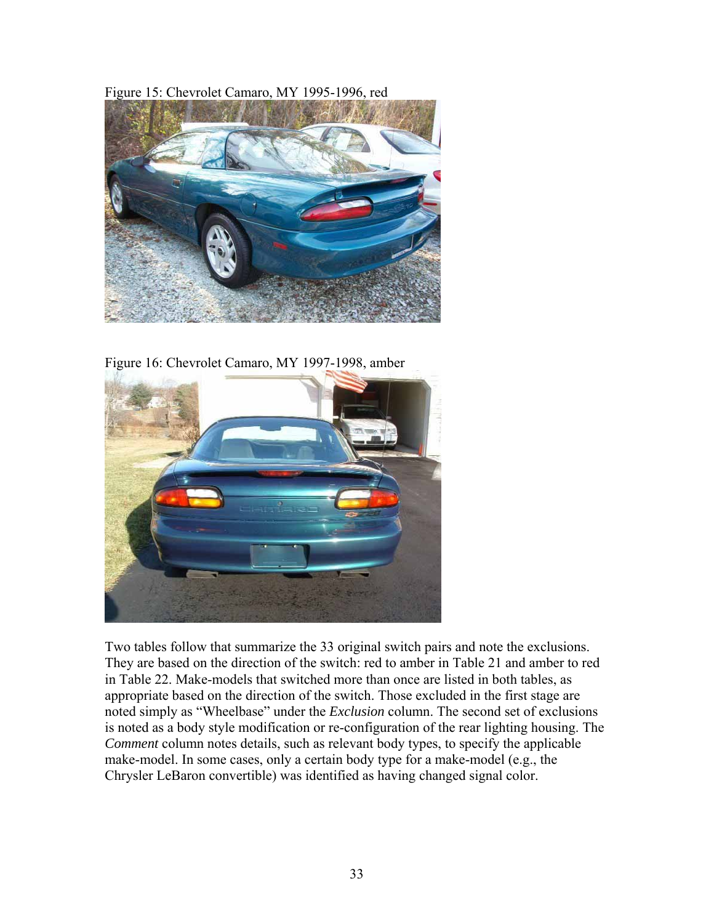<span id="page-39-1"></span><span id="page-39-0"></span>Figure 15: Chevrolet Camaro, MY 1995-1996, red



Figure 16: Chevrolet Camaro, MY 1997-1998, amber

<span id="page-39-2"></span>

Two tables follow that summarize the 33 original switch pairs and note the exclusions. They are based on the direction of the switch: red to amber in [Table 21](#page-40-1) and amber to red in [Table 22.](#page-41-1) Make-models that switched more than once are listed in both tables, as appropriate based on the direction of the switch. Those excluded in the first stage are noted simply as "Wheelbase" under the *Exclusion* column. The second set of exclusions is noted as a body style modification or re-configuration of the rear lighting housing. The *Comment* column notes details, such as relevant body types, to specify the applicable make-model. In some cases, only a certain body type for a make-model (e.g., the Chrysler LeBaron convertible) was identified as having changed signal color.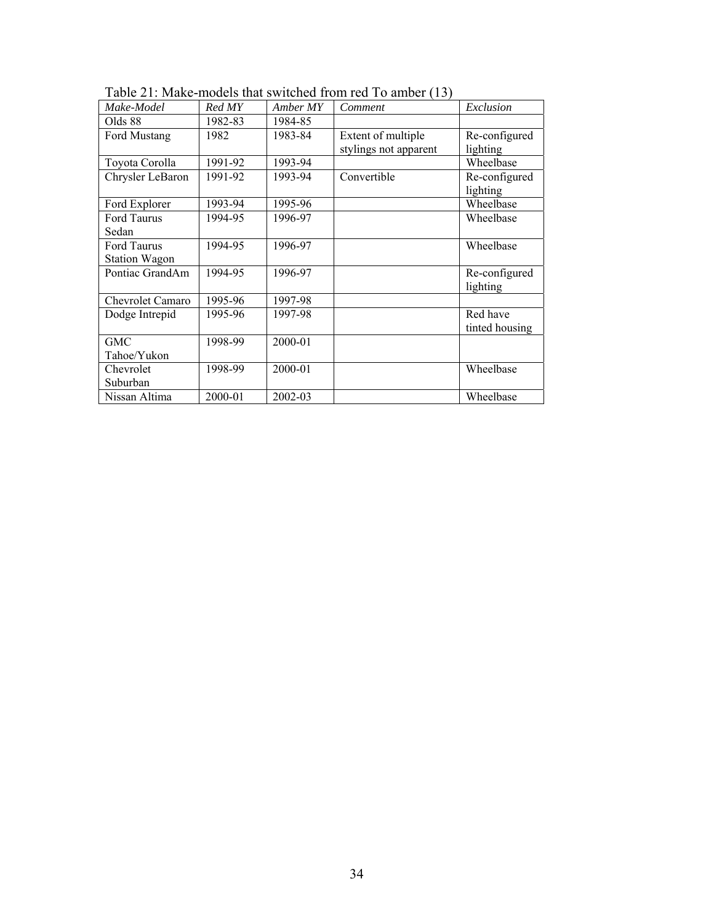<span id="page-40-1"></span>

| Make-Model           | Red MY  | Amber MY | Comment               | Exclusion      |
|----------------------|---------|----------|-----------------------|----------------|
| Olds 88              | 1982-83 | 1984-85  |                       |                |
| Ford Mustang         | 1982    | 1983-84  | Extent of multiple    | Re-configured  |
|                      |         |          | stylings not apparent | lighting       |
| Toyota Corolla       | 1991-92 | 1993-94  |                       | Wheelbase      |
| Chrysler LeBaron     | 1991-92 | 1993-94  | Convertible           | Re-configured  |
|                      |         |          |                       | lighting       |
| Ford Explorer        | 1993-94 | 1995-96  |                       | Wheelbase      |
| Ford Taurus          | 1994-95 | 1996-97  |                       | Wheelbase      |
| Sedan                |         |          |                       |                |
| Ford Taurus          | 1994-95 | 1996-97  |                       | Wheelbase      |
| <b>Station Wagon</b> |         |          |                       |                |
| Pontiac GrandAm      | 1994-95 | 1996-97  |                       | Re-configured  |
|                      |         |          |                       | lighting       |
| Chevrolet Camaro     | 1995-96 | 1997-98  |                       |                |
| Dodge Intrepid       | 1995-96 | 1997-98  |                       | Red have       |
|                      |         |          |                       | tinted housing |
| <b>GMC</b>           | 1998-99 | 2000-01  |                       |                |
| Tahoe/Yukon          |         |          |                       |                |
| Chevrolet            | 1998-99 | 2000-01  |                       | Wheelbase      |
| Suburban             |         |          |                       |                |
| Nissan Altima        | 2000-01 | 2002-03  |                       | Wheelbase      |

<span id="page-40-0"></span>Table 21: Make-models that switched from red To amber (13)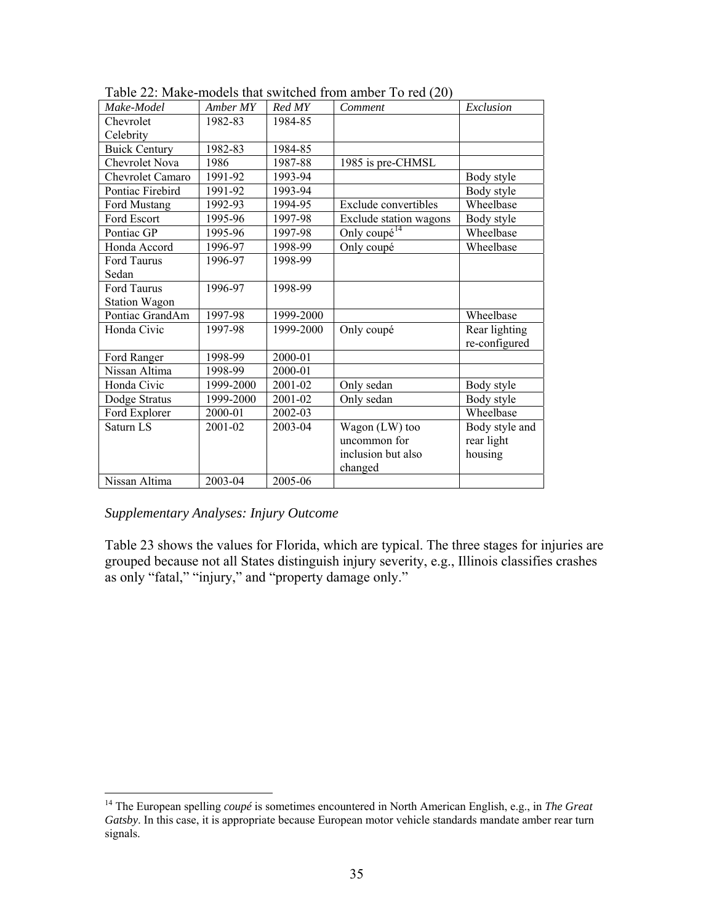<span id="page-41-1"></span>

| Make-Model           | Amber MY  | Red MY    | Comment                  | Exclusion      |
|----------------------|-----------|-----------|--------------------------|----------------|
| Chevrolet            | 1982-83   | 1984-85   |                          |                |
| Celebrity            |           |           |                          |                |
| <b>Buick Century</b> | 1982-83   | 1984-85   |                          |                |
| Chevrolet Nova       | 1986      | 1987-88   | 1985 is pre-CHMSL        |                |
| Chevrolet Camaro     | 1991-92   | 1993-94   |                          | Body style     |
| Pontiac Firebird     | 1991-92   | 1993-94   |                          | Body style     |
| Ford Mustang         | 1992-93   | 1994-95   | Exclude convertibles     | Wheelbase      |
| Ford Escort          | 1995-96   | 1997-98   | Exclude station wagons   | Body style     |
| Pontiac GP           | 1995-96   | 1997-98   | Only coupé <sup>14</sup> | Wheelbase      |
| Honda Accord         | 1996-97   | 1998-99   | Only coupé               | Wheelbase      |
| <b>Ford Taurus</b>   | 1996-97   | 1998-99   |                          |                |
| Sedan                |           |           |                          |                |
| Ford Taurus          | 1996-97   | 1998-99   |                          |                |
| <b>Station Wagon</b> |           |           |                          |                |
| Pontiac GrandAm      | 1997-98   | 1999-2000 |                          | Wheelbase      |
| Honda Civic          | 1997-98   | 1999-2000 | Only coupé               | Rear lighting  |
|                      |           |           |                          | re-configured  |
| Ford Ranger          | 1998-99   | 2000-01   |                          |                |
| Nissan Altima        | 1998-99   | 2000-01   |                          |                |
| Honda Civic          | 1999-2000 | 2001-02   | Only sedan               | Body style     |
| Dodge Stratus        | 1999-2000 | 2001-02   | Only sedan               | Body style     |
| Ford Explorer        | 2000-01   | 2002-03   |                          | Wheelbase      |
| Saturn LS            | 2001-02   | 2003-04   | Wagon $(LW)$ too         | Body style and |
|                      |           |           | uncommon for             | rear light     |
|                      |           |           | inclusion but also       | housing        |
|                      |           |           | changed                  |                |
| Nissan Altima        | 2003-04   | 2005-06   |                          |                |

<span id="page-41-0"></span>Table 22: Make-models that switched from amber To red (20)

## <span id="page-41-2"></span>*Supplementary Analyses: Injury Outcome*

[Table 23](#page-42-1) shows the values for Florida, which are typical. The three stages for injuries are grouped because not all States distinguish injury severity, e.g., Illinois classifies crashes as only "fatal," "injury," and "property damage only."

<span id="page-41-3"></span><sup>14</sup> The European spelling *coupé* is sometimes encountered in North American English, e.g., in *The Great Gatsby*. In this case, it is appropriate because European motor vehicle standards mandate amber rear turn signals.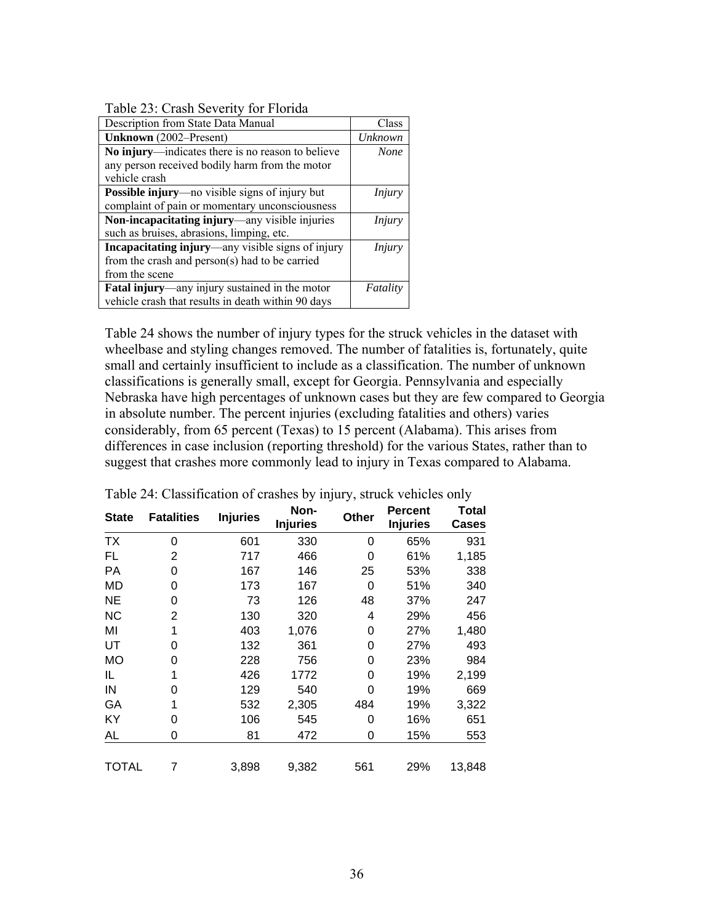<span id="page-42-0"></span>Table 23: Crash Severity for Florida

<span id="page-42-1"></span>

| Description from State Data Manual                     | Class         |
|--------------------------------------------------------|---------------|
| Unknown (2002-Present)                                 | Unknown       |
| No injury—indicates there is no reason to believe      | <b>None</b>   |
| any person received bodily harm from the motor         |               |
| vehicle crash                                          |               |
| <b>Possible injury</b> —no visible signs of injury but | <i>Injury</i> |
| complaint of pain or momentary unconsciousness         |               |
| Non-incapacitating injury—any visible injuries         | Injury        |
| such as bruises, abrasions, limping, etc.              |               |
| Incapacitating injury—any visible signs of injury      | Injury        |
| from the crash and $person(s)$ had to be carried       |               |
| from the scene                                         |               |
| Fatal injury—any injury sustained in the motor         | Fatality      |
| vehicle crash that results in death within 90 days     |               |

[Table 24](#page-42-2) shows the number of injury types for the struck vehicles in the dataset with wheelbase and styling changes removed. The number of fatalities is, fortunately, quite small and certainly insufficient to include as a classification. The number of unknown classifications is generally small, except for Georgia. Pennsylvania and especially Nebraska have high percentages of unknown cases but they are few compared to Georgia in absolute number. The percent injuries (excluding fatalities and others) varies considerably, from 65 percent (Texas) to 15 percent (Alabama). This arises from differences in case inclusion (reporting threshold) for the various States, rather than to suggest that crashes more commonly lead to injury in Texas compared to Alabama.

| <b>State</b> | <b>Fatalities</b> | <b>Injuries</b> | Non-<br><b>Injuries</b> | Other | <b>Percent</b><br><b>Injuries</b> | Total<br><b>Cases</b> |
|--------------|-------------------|-----------------|-------------------------|-------|-----------------------------------|-----------------------|
| ТX           | 0                 | 601             | 330                     | 0     | 65%                               | 931                   |
| FL           | 2                 | 717             | 466                     | 0     | 61%                               | 1,185                 |
| <b>PA</b>    | 0                 | 167             | 146                     | 25    | 53%                               | 338                   |
| <b>MD</b>    | 0                 | 173             | 167                     | 0     | 51%                               | 340                   |
| <b>NE</b>    | 0                 | 73              | 126                     | 48    | 37%                               | 247                   |
| <b>NC</b>    | 2                 | 130             | 320                     | 4     | 29%                               | 456                   |
| MI           | 1                 | 403             | 1,076                   | 0     | 27%                               | 1,480                 |
| UT           | ი                 | 132             | 361                     | 0     | 27%                               | 493                   |
| <b>MO</b>    | O                 | 228             | 756                     | 0     | 23%                               | 984                   |
| IL           |                   | 426             | 1772                    | O     | 19%                               | 2,199                 |
| IN           | O                 | 129             | 540                     | 0     | 19%                               | 669                   |
| GA           |                   | 532             | 2,305                   | 484   | 19%                               | 3,322                 |
| KY           | 0                 | 106             | 545                     | 0     | 16%                               | 651                   |
| AL           | 0                 | 81              | 472                     | 0     | 15%                               | 553                   |
| <b>TOTAL</b> | 7                 | 3,898           | 9,382                   | 561   | 29%                               | 13,848                |

<span id="page-42-2"></span>Table 24: Classification of crashes by injury, struck vehicles only